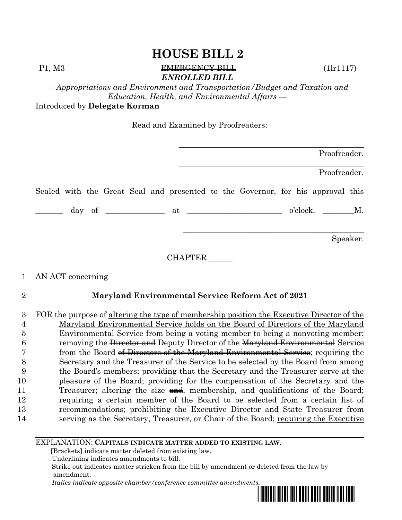#### P1, M3 EMERGENCY BILL (1lr1117) *ENROLLED BILL*

*— Appropriations and Environment and Transportation/Budget and Taxation and Education, Health, and Environmental Affairs —*

Introduced by **Delegate Korman**

Read and Examined by Proofreaders:

|         | Proofreader.                                                                    |
|---------|---------------------------------------------------------------------------------|
|         | Proofreader.                                                                    |
|         | Sealed with the Great Seal and presented to the Governor, for his approval this |
|         | $o'clock, \t M.$                                                                |
|         | Speaker.                                                                        |
| CHAPTER |                                                                                 |

#### 1 AN ACT concerning

#### 2 **Maryland Environmental Service Reform Act of 2021**

 FOR the purpose of altering the type of membership position the Executive Director of the Maryland Environmental Service holds on the Board of Directors of the Maryland Environmental Service from being a voting member to being a nonvoting member; 6 removing the Director and Deputy Director of the Maryland Environmental Service 7 from the Board of Directors of the Maryland Environmental Service; requiring the Secretary and the Treasurer of the Service to be selected by the Board from among the Board's members; providing that the Secretary and the Treasurer serve at the pleasure of the Board; providing for the compensation of the Secretary and the 11 Treasurer; altering the size and, membership, and qualifications of the Board; requiring a certain member of the Board to be selected from a certain list of recommendations; prohibiting the Executive Director and State Treasurer from 14 serving as the Secretary, Treasurer, or Chair of the Board; requiring the Executive

#### EXPLANATION: **CAPITALS INDICATE MATTER ADDED TO EXISTING LAW**.

 **[**Brackets**]** indicate matter deleted from existing law.

Underlining indicates amendments to bill.

 Strike out indicates matter stricken from the bill by amendment or deleted from the law by amendment.

 *Italics indicate opposite chamber/conference committee amendments.*

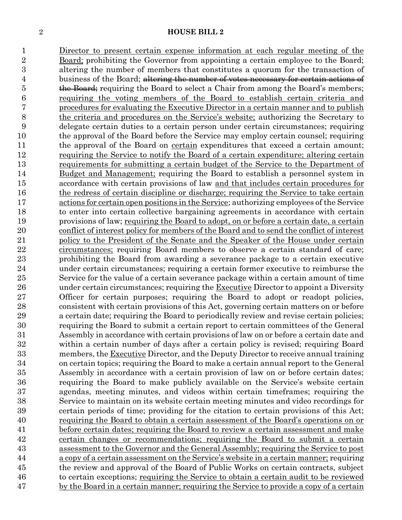Director to present certain expense information at each regular meeting of the Board; prohibiting the Governor from appointing a certain employee to the Board; altering the number of members that constitutes a quorum for the transaction of 4 business of the Board; altering the number of votes necessary for certain actions of 5 the Board; requiring the Board to select a Chair from among the Board's members; requiring the voting members of the Board to establish certain criteria and procedures for evaluating the Executive Director in a certain manner and to publish the criteria and procedures on the Service's website; authorizing the Secretary to delegate certain duties to a certain person under certain circumstances; requiring the approval of the Board before the Service may employ certain counsel; requiring 11 the approval of the Board on certain expenditures that exceed a certain amount; requiring the Service to notify the Board of a certain expenditure; altering certain requirements for submitting a certain budget of the Service to the Department of Budget and Management; requiring the Board to establish a personnel system in accordance with certain provisions of law and that includes certain procedures for the redress of certain discipline or discharge; requiring the Service to take certain actions for certain open positions in the Service; authorizing employees of the Service to enter into certain collective bargaining agreements in accordance with certain provisions of law; requiring the Board to adopt, on or before a certain date, a certain conflict of interest policy for members of the Board and to send the conflict of interest policy to the President of the Senate and the Speaker of the House under certain circumstances; requiring Board members to observe a certain standard of care; prohibiting the Board from awarding a severance package to a certain executive under certain circumstances; requiring a certain former executive to reimburse the Service for the value of a certain severance package within a certain amount of time 26 under certain circumstances; requiring the Executive Director to appoint a Diversity Officer for certain purposes; requiring the Board to adopt or readopt policies, consistent with certain provisions of this Act, governing certain matters on or before a certain date; requiring the Board to periodically review and revise certain policies; requiring the Board to submit a certain report to certain committees of the General Assembly in accordance with certain provisions of law on or before a certain date and within a certain number of days after a certain policy is revised; requiring Board 33 members, the Executive Director, and the Deputy Director to receive annual training on certain topics; requiring the Board to make a certain annual report to the General Assembly in accordance with a certain provision of law on or before certain dates; requiring the Board to make publicly available on the Service's website certain agendas, meeting minutes, and videos within certain timeframes; requiring the Service to maintain on its website certain meeting minutes and video recordings for certain periods of time; providing for the citation to certain provisions of this Act; requiring the Board to obtain a certain assessment of the Board's operations on or before certain dates; requiring the Board to review a certain assessment and make certain changes or recommendations; requiring the Board to submit a certain assessment to the Governor and the General Assembly; requiring the Service to post a copy of a certain assessment on the Service's website in a certain manner; requiring the review and approval of the Board of Public Works on certain contracts, subject to certain exceptions; requiring the Service to obtain a certain audit to be reviewed by the Board in a certain manner; requiring the Service to provide a copy of a certain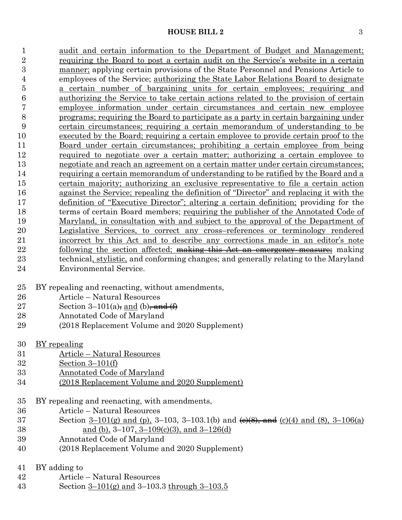1 audit and certain information to the Department of Budget and Management; requiring the Board to post a certain audit on the Service's website in a certain manner; applying certain provisions of the State Personnel and Pensions Article to employees of the Service; authorizing the State Labor Relations Board to designate a certain number of bargaining units for certain employees; requiring and authorizing the Service to take certain actions related to the provision of certain employee information under certain circumstances and certain new employee programs; requiring the Board to participate as a party in certain bargaining under certain circumstances; requiring a certain memorandum of understanding to be executed by the Board; requiring a certain employee to provide certain proof to the Board under certain circumstances; prohibiting a certain employee from being required to negotiate over a certain matter; authorizing a certain employee to negotiate and reach an agreement on a certain matter under certain circumstances; requiring a certain memorandum of understanding to be ratified by the Board and a certain majority; authorizing an exclusive representative to file a certain action against the Service; repealing the definition of "Director" and replacing it with the definition of "Executive Director"; altering a certain definition; providing for the terms of certain Board members; requiring the publisher of the Annotated Code of Maryland, in consultation with and subject to the approval of the Department of Legislative Services, to correct any cross–references or terminology rendered incorrect by this Act and to describe any corrections made in an editor's note 22 following the section affected; making this Act an emergency measure; making technical, stylistic, and conforming changes; and generally relating to the Maryland Environmental Service.

- BY repealing and reenacting, without amendments,
- Article Natural Resources
- 27 Section 3–101(a), and (b), and  $(f)$
- Annotated Code of Maryland
- (2018 Replacement Volume and 2020 Supplement)
- BY repealing
- Article Natural Resources
- Section 3–101(f)
- Annotated Code of Maryland
- (2018 Replacement Volume and 2020 Supplement)
- BY repealing and reenacting, with amendments,
- Article Natural Resources
- 37 Section 3–101(g) and (p), 3–103, 3–103.1(b) and  $\left(\frac{e}{8}, \frac{e}{8}\right)$ , and (c)(4) and (8), 3–106(a) 38 <u>and (b)</u>, 3–107, 3–109(c)(3), and 3–126(d)
- Annotated Code of Maryland
- (2018 Replacement Volume and 2020 Supplement)
- BY adding to
- Article Natural Resources
- Section 3–101(g) and 3–103.3 through 3–103.5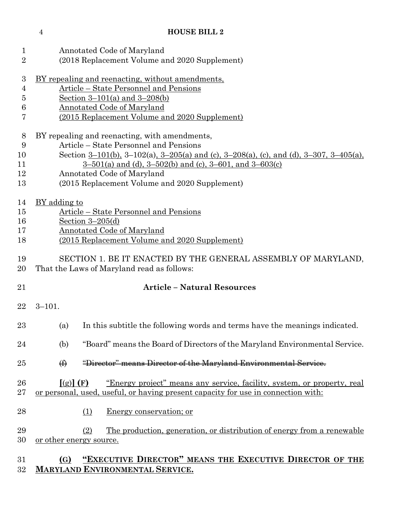Annotated Code of Maryland (2018 Replacement Volume and 2020 Supplement) BY repealing and reenacting, without amendments, Article – State Personnel and Pensions Section 3–101(a) and 3–208(b) Annotated Code of Maryland (2015 Replacement Volume and 2020 Supplement) BY repealing and reenacting, with amendments, Article – State Personnel and Pensions Section 3–101(b), 3–102(a), 3–205(a) and (c), 3–208(a), (c), and (d), 3–307, 3–405(a), 3–501(a) and (d), 3–502(b) and (c), 3–601, and 3–603(c) Annotated Code of Maryland (2015 Replacement Volume and 2020 Supplement) 14 BY adding to Article – State Personnel and Pensions Section 3–205(d) Annotated Code of Maryland (2015 Replacement Volume and 2020 Supplement) SECTION 1. BE IT ENACTED BY THE GENERAL ASSEMBLY OF MARYLAND, That the Laws of Maryland read as follows: **Article – Natural Resources** 3–101. (a) In this subtitle the following words and terms have the meanings indicated. (b) "Board" means the Board of Directors of the Maryland Environmental Service. **(f)** "Director" means Director of the Maryland Environmental Service. **[**(g)**] (F)** "Energy project" means any service, facility, system, or property, real or personal, used, useful, or having present capacity for use in connection with: 28 (1) Energy conservation; or (2) The production, generation, or distribution of energy from a renewable 30 <u>or other energy source.</u> **(G) "EXECUTIVE DIRECTOR" MEANS THE EXECUTIVE DIRECTOR OF THE MARYLAND ENVIRONMENTAL SERVICE.**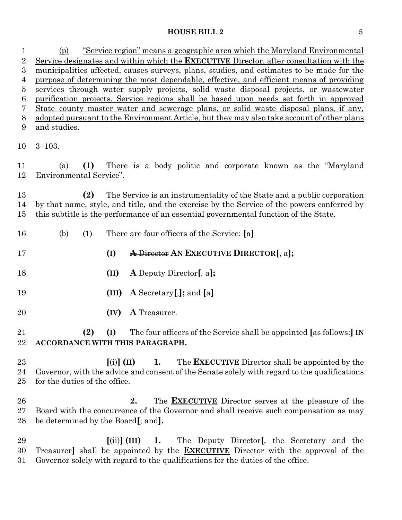(p) "Service region" means a geographic area which the Maryland Environmental Service designates and within which the **EXECUTIVE** Director, after consultation with the municipalities affected, causes surveys, plans, studies, and estimates to be made for the purpose of determining the most dependable, effective, and efficient means of providing services through water supply projects, solid waste disposal projects, or wastewater purification projects. Service regions shall be based upon needs set forth in approved State–county master water and sewerage plans, or solid waste disposal plans, if any, adopted pursuant to the Environment Article, but they may also take account of other plans and studies. 3–103. (a) **(1)** There is a body politic and corporate known as the "Maryland Environmental Service". **(2)** The Service is an instrumentality of the State and a public corporation by that name, style, and title, and the exercise by the Service of the powers conferred by this subtitle is the performance of an essential governmental function of the State. (b) (1) There are four officers of the Service: **[**a**] (I) A** Director **AN EXECUTIVE DIRECTOR[**, a**]; (II) A** Deputy Director**[**, a**]; (III) A** Secretary**[**,**];** and **[**a**] (IV) A** Treasurer. **(2) (I)** The four officers of the Service shall be appointed **[**as follows:**] IN ACCORDANCE WITH THIS PARAGRAPH. [**(i)**] (II) 1.** The **EXECUTIVE** Director shall be appointed by the Governor, with the advice and consent of the Senate solely with regard to the qualifications for the duties of the office.

 **2.** The **EXECUTIVE** Director serves at the pleasure of the Board with the concurrence of the Governor and shall receive such compensation as may be determined by the Board**[**; and**].**

 **[**(ii)**] (III) 1.** The Deputy Director**[**, the Secretary and the Treasurer**]** shall be appointed by the **EXECUTIVE** Director with the approval of the Governor solely with regard to the qualifications for the duties of the office.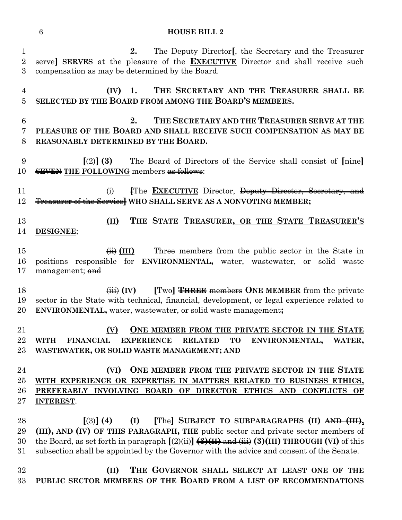| 1<br>$\overline{2}$<br>3  | The Deputy Director [, the Secretary and the Treasurer<br>2.<br>serve] SERVES at the pleasure of the <b>EXECUTIVE</b> Director and shall receive such<br>compensation as may be determined by the Board.                                                                                                                                                      |
|---------------------------|---------------------------------------------------------------------------------------------------------------------------------------------------------------------------------------------------------------------------------------------------------------------------------------------------------------------------------------------------------------|
| $\overline{4}$<br>5       | THE SECRETARY AND THE TREASURER SHALL BE<br>$(IV)$ 1.<br>SELECTED BY THE BOARD FROM AMONG THE BOARD'S MEMBERS.                                                                                                                                                                                                                                                |
| $6\phantom{.}6$<br>7<br>8 | THE SECRETARY AND THE TREASURER SERVE AT THE<br>2.<br>PLEASURE OF THE BOARD AND SHALL RECEIVE SUCH COMPENSATION AS MAY BE<br>REASONABLY DETERMINED BY THE BOARD.                                                                                                                                                                                              |
| 9<br>10                   | The Board of Directors of the Service shall consist of [nine]<br>$(2)$ (3)<br><b>SEVEN THE FOLLOWING members as follows:</b>                                                                                                                                                                                                                                  |
| 11<br>12                  | FThe <b>EXECUTIVE</b> Director, Deputy Director, Secretary, and<br>(i)<br>Treasurer of the Service WHO SHALL SERVE AS A NONVOTING MEMBER;                                                                                                                                                                                                                     |
| 13<br>14                  | THE STATE TREASURER, OR THE STATE TREASURER'S<br>(II)<br>DESIGNEE;                                                                                                                                                                                                                                                                                            |
| 15<br>16<br>17            | Three members from the public sector in the State in<br>$\overline{H}$ (III)<br>positions responsible for<br><b>ENVIRONMENTAL</b> , water, wastewater, or solid waste<br>management; and                                                                                                                                                                      |
| 18<br>19<br>20            | [Two] THREE members ONE MEMBER from the private<br>$\overline{(\overline{iii})}$ (IV)<br>sector in the State with technical, financial, development, or legal experience related to<br><b>ENVIRONMENTAL</b> , water, wastewater, or solid waste management;                                                                                                   |
| 21<br>22<br>23            | ONE MEMBER FROM THE PRIVATE SECTOR IN THE STATE<br>(V)<br>FINANCIAL EXPERIENCE RELATED TO ENVIRONMENTAL, WATER.<br><b>WITH</b><br>WASTEWATER, OR SOLID WASTE MANAGEMENT; AND                                                                                                                                                                                  |
| 24<br>25<br>26<br>27      | ONE MEMBER FROM THE PRIVATE SECTOR IN THE STATE<br>(VI)<br>WITH EXPERIENCE OR EXPERTISE IN MATTERS RELATED TO BUSINESS ETHICS,<br>PREFERABLY INVOLVING BOARD OF DIRECTOR ETHICS AND CONFLICTS OF<br><b>INTEREST.</b>                                                                                                                                          |
| 28<br>29<br>30<br>31      | [The] SUBJECT TO SUBPARAGRAPHS (II) AND (III),<br>$(3)$ (4)<br>(I)<br>(III), AND (IV) OF THIS PARAGRAPH, THE public sector and private sector members of<br>the Board, as set forth in paragraph $[(2)(ii)]$ $(3)(H)$ and $(iii)$ $(3)(III)$ THROUGH (VI) of this<br>subsection shall be appointed by the Governor with the advice and consent of the Senate. |
| 32<br>33                  | THE GOVERNOR SHALL SELECT AT LEAST ONE OF THE<br>(II)<br>PUBLIC SECTOR MEMBERS OF THE BOARD FROM A LIST OF RECOMMENDATIONS                                                                                                                                                                                                                                    |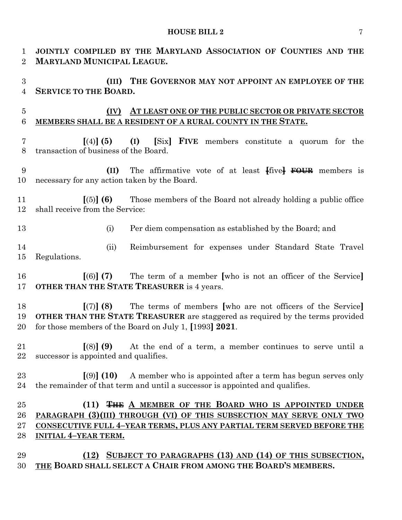| $\mathbf 1$<br>$\overline{2}$    | JOINTLY COMPILED BY THE MARYLAND ASSOCIATION OF COUNTIES AND THE<br><b>MARYLAND MUNICIPAL LEAGUE.</b>                                                                                                               |  |  |  |
|----------------------------------|---------------------------------------------------------------------------------------------------------------------------------------------------------------------------------------------------------------------|--|--|--|
| $\overline{3}$<br>$\overline{4}$ | (III) THE GOVERNOR MAY NOT APPOINT AN EMPLOYEE OF THE<br>SERVICE TO THE BOARD.                                                                                                                                      |  |  |  |
| $\overline{5}$<br>$\,6$          | AT LEAST ONE OF THE PUBLIC SECTOR OR PRIVATE SECTOR<br>(IV)<br>MEMBERS SHALL BE A RESIDENT OF A RURAL COUNTY IN THE STATE.                                                                                          |  |  |  |
| $\overline{7}$<br>8              | (I) [Six] FIVE members constitute a quorum for the<br>$(4)$ (5)<br>transaction of business of the Board.                                                                                                            |  |  |  |
| 9<br>10                          | (II) The affirmative vote of at least five FOUR members is<br>necessary for any action taken by the Board.                                                                                                          |  |  |  |
| 11<br>12                         | Those members of the Board not already holding a public office<br>$(5)$ (6)<br>shall receive from the Service:                                                                                                      |  |  |  |
| 13                               | Per diem compensation as established by the Board; and<br>(i)                                                                                                                                                       |  |  |  |
| 14<br>15                         | Reimbursement for expenses under Standard State Travel<br>(ii)<br>Regulations.                                                                                                                                      |  |  |  |
| 16<br>17                         | The term of a member who is not an officer of the Service.<br>$(6)$ (7)<br>OTHER THAN THE STATE TREASURER is 4 years.                                                                                               |  |  |  |
| 18<br>19<br>20                   | The terms of members [who are not officers of the Service]<br>[(7)] (8)<br>OTHER THAN THE STATE TREASURER are staggered as required by the terms provided<br>for those members of the Board on July 1, [1993] 2021. |  |  |  |
| 21<br>22                         | $(8)$ (9) At the end of a term, a member continues to serve until a<br>successor is appointed and qualifies.                                                                                                        |  |  |  |
| 23<br>24                         | $[9]$ (10) A member who is appointed after a term has begun serves only<br>the remainder of that term and until a successor is appointed and qualifies.                                                             |  |  |  |
| 25                               | (11) <del>THE</del> A MEMBER OF THE BOARD WHO IS APPOINTED UNDER                                                                                                                                                    |  |  |  |
| 26                               | PARAGRAPH (3)(III) THROUGH (VI) OF THIS SUBSECTION MAY SERVE ONLY TWO                                                                                                                                               |  |  |  |
| 27                               | <b>CONSECUTIVE FULL 4-YEAR TERMS, PLUS ANY PARTIAL TERM SERVED BEFORE THE</b>                                                                                                                                       |  |  |  |
| 28                               | <b>INITIAL 4-YEAR TERM.</b>                                                                                                                                                                                         |  |  |  |
| 29                               | (12) SUBJECT TO PARAGRAPHS (13) AND (14) OF THIS SUBSECTION,                                                                                                                                                        |  |  |  |
| 30                               | THE BOARD SHALL SELECT A CHAIR FROM AMONG THE BOARD'S MEMBERS.                                                                                                                                                      |  |  |  |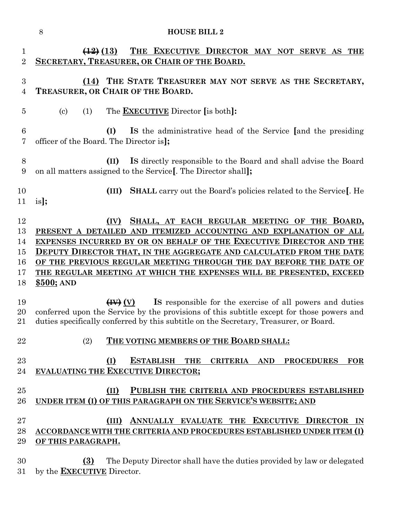|                                        | <b>HOUSE BILL 2</b><br>8                                                                                                                                                                                                                                                                                                                                                                                                            |
|----------------------------------------|-------------------------------------------------------------------------------------------------------------------------------------------------------------------------------------------------------------------------------------------------------------------------------------------------------------------------------------------------------------------------------------------------------------------------------------|
| $\mathbf{1}$<br>$\overline{2}$         | THE EXECUTIVE DIRECTOR MAY NOT SERVE AS THE<br>$\left(\frac{12}{2}\right)$ (13)<br><b>SECRETARY, TREASURER, OR CHAIR OF THE BOARD.</b>                                                                                                                                                                                                                                                                                              |
| $\boldsymbol{3}$<br>$\overline{4}$     | (14) THE STATE TREASURER MAY NOT SERVE AS THE SECRETARY,<br>TREASURER, OR CHAIR OF THE BOARD.                                                                                                                                                                                                                                                                                                                                       |
| 5                                      | The <b>EXECUTIVE</b> Director [is both]:<br>$\left( \mathrm{c}\right)$<br>(1)                                                                                                                                                                                                                                                                                                                                                       |
| $6\phantom{.}6$<br>7                   | Is the administrative head of the Service [and the presiding<br>(I)<br>officer of the Board. The Director is];                                                                                                                                                                                                                                                                                                                      |
| 8<br>9                                 | Is directly responsible to the Board and shall advise the Board<br>(II)<br>on all matters assigned to the Service. The Director shall:                                                                                                                                                                                                                                                                                              |
| 10<br>11                               | <b>SHALL</b> carry out the Board's policies related to the Service. He<br>(III)<br>$is$ :                                                                                                                                                                                                                                                                                                                                           |
| 12<br>13<br>14<br>15<br>16<br>17<br>18 | SHALL, AT EACH REGULAR MEETING OF THE BOARD,<br>(IV)<br>PRESENT A DETAILED AND ITEMIZED ACCOUNTING AND EXPLANATION OF ALL<br>EXPENSES INCURRED BY OR ON BEHALF OF THE EXECUTIVE DIRECTOR AND THE<br>DEPUTY DIRECTOR THAT, IN THE AGGREGATE AND CALCULATED FROM THE DATE<br>OF THE PREVIOUS REGULAR MEETING THROUGH THE DAY BEFORE THE DATE OF<br>THE REGULAR MEETING AT WHICH THE EXPENSES WILL BE PRESENTED, EXCEED<br>$$500;$ AND |
| 19<br>20<br>21                         | Is responsible for the exercise of all powers and duties<br>$\left(\mathbf{H}\right)$ (V)<br>conferred upon the Service by the provisions of this subtitle except for those powers and<br>duties specifically conferred by this subtitle on the Secretary, Treasurer, or Board.                                                                                                                                                     |
| 22<br>23<br>24                         | THE VOTING MEMBERS OF THE BOARD SHALL:<br>(2)<br><b>ESTABLISH THE</b><br>(I)<br>CRITERIA AND PROCEDURES<br>FOR<br><b>EVALUATING THE EXECUTIVE DIRECTOR;</b>                                                                                                                                                                                                                                                                         |
| 25<br>26                               | (II)<br>PUBLISH THE CRITERIA AND PROCEDURES ESTABLISHED<br>UNDER ITEM (I) OF THIS PARAGRAPH ON THE SERVICE'S WEBSITE; AND                                                                                                                                                                                                                                                                                                           |
| 27<br>28<br>29                         | ANNUALLY EVALUATE THE EXECUTIVE DIRECTOR IN<br>(III)<br><b>ACCORDANCE WITH THE CRITERIA AND PROCEDURES ESTABLISHED UNDER ITEM (I)</b><br>OF THIS PARAGRAPH.                                                                                                                                                                                                                                                                         |
| 30                                     | (3)<br>The Deputy Director shall have the duties provided by law or delegated                                                                                                                                                                                                                                                                                                                                                       |

by the **EXECUTIVE** Director.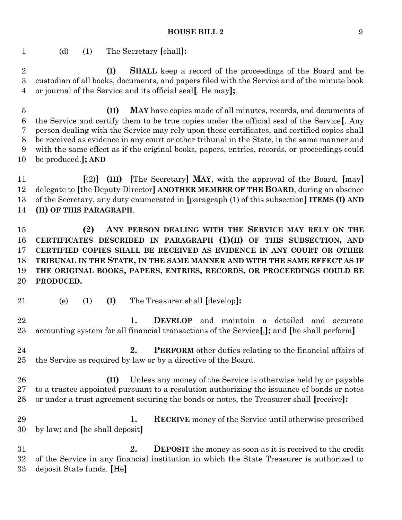(d) (1) The Secretary **[**shall**]:**

 **(I) SHALL** keep a record of the proceedings of the Board and be custodian of all books, documents, and papers filed with the Service and of the minute book or journal of the Service and its official seal**[**. He may**];**

 **(II) MAY** have copies made of all minutes, records, and documents of the Service and certify them to be true copies under the official seal of the Service**[**. Any person dealing with the Service may rely upon these certificates, and certified copies shall be received as evidence in any court or other tribunal in the State, in the same manner and with the same effect as if the original books, papers, entries, records, or proceedings could be produced.**]; AND**

 **[**(2)**] (III) [**The Secretary**] MAY**, with the approval of the Board, **[**may**]** delegate to **[**the Deputy Director**] ANOTHER MEMBER OF THE BOARD**, during an absence of the Secretary, any duty enumerated in **[**paragraph (1) of this subsection**] ITEMS (I) AND (II) OF THIS PARAGRAPH**.

 **(2) ANY PERSON DEALING WITH THE SERVICE MAY RELY ON THE CERTIFICATES DESCRIBED IN PARAGRAPH (1)(II) OF THIS SUBSECTION, AND CERTIFIED COPIES SHALL BE RECEIVED AS EVIDENCE IN ANY COURT OR OTHER TRIBUNAL IN THE STATE, IN THE SAME MANNER AND WITH THE SAME EFFECT AS IF THE ORIGINAL BOOKS, PAPERS, ENTRIES, RECORDS, OR PROCEEDINGS COULD BE PRODUCED.**

- 
- (e) (1) **(I)** The Treasurer shall **[**develop**]:**

 **1. DEVELOP** and maintain a detailed and accurate accounting system for all financial transactions of the Service**[**,**];** and **[**he shall perform**]**

- 2. **PERFORM** other duties relating to the financial affairs of the Service as required by law or by a directive of the Board.
- **(II)** Unless any money of the Service is otherwise held by or payable to a trustee appointed pursuant to a resolution authorizing the issuance of bonds or notes or under a trust agreement securing the bonds or notes, the Treasurer shall **[**receive**]:**
- **1. RECEIVE** money of the Service until otherwise prescribed by law**;** and **[**he shall deposit**]**
- **2. DEPOSIT** the money as soon as it is received to the credit of the Service in any financial institution in which the State Treasurer is authorized to deposit State funds. **[**He**]**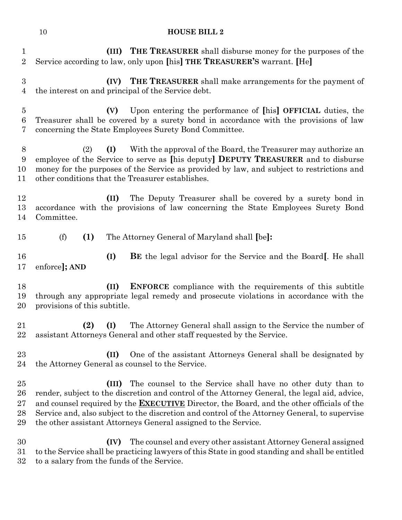| $\mathbf{1}$<br>$\overline{2}$ | (III) THE TREASURER shall disburse money for the purposes of the<br>Service according to law, only upon [his] THE TREASURER'S warrant. [He]                                                                                                                                                                                                                                                                                                  |
|--------------------------------|----------------------------------------------------------------------------------------------------------------------------------------------------------------------------------------------------------------------------------------------------------------------------------------------------------------------------------------------------------------------------------------------------------------------------------------------|
| 3<br>$\overline{4}$            | <b>(IV)</b> THE TREASURER shall make arrangements for the payment of<br>the interest on and principal of the Service debt.                                                                                                                                                                                                                                                                                                                   |
| $\overline{5}$<br>6<br>7       | Upon entering the performance of [his] OFFICIAL duties, the<br>(V)<br>Treasurer shall be covered by a surety bond in accordance with the provisions of law<br>concerning the State Employees Surety Bond Committee.                                                                                                                                                                                                                          |
| 8<br>9<br>10<br>11             | With the approval of the Board, the Treasurer may authorize an<br>(I)<br>(2)<br>employee of the Service to serve as [his deputy] DEPUTY TREASURER and to disburse<br>money for the purposes of the Service as provided by law, and subject to restrictions and<br>other conditions that the Treasurer establishes.                                                                                                                           |
| 12<br>13<br>14                 | The Deputy Treasurer shall be covered by a surety bond in<br>(II)<br>accordance with the provisions of law concerning the State Employees Surety Bond<br>Committee.                                                                                                                                                                                                                                                                          |
| 15                             | (f)<br>(1)<br>The Attorney General of Maryland shall [be]:                                                                                                                                                                                                                                                                                                                                                                                   |
| 16<br>17                       | (I)<br><b>BE</b> the legal advisor for the Service and the Board. He shall<br>enforce]; AND                                                                                                                                                                                                                                                                                                                                                  |
| 18<br>19<br>20                 | (II)<br><b>ENFORCE</b> compliance with the requirements of this subtitle<br>through any appropriate legal remedy and prosecute violations in accordance with the<br>provisions of this subtitle.                                                                                                                                                                                                                                             |
| 21<br>22                       | The Attorney General shall assign to the Service the number of<br>(2)<br>(I)<br>assistant Attorneys General and other staff requested by the Service.                                                                                                                                                                                                                                                                                        |
| 23<br>24                       | One of the assistant Attorneys General shall be designated by<br>(II)<br>the Attorney General as counsel to the Service.                                                                                                                                                                                                                                                                                                                     |
| 25<br>26<br>27<br>28<br>29     | The counsel to the Service shall have no other duty than to<br>(III)<br>render, subject to the discretion and control of the Attorney General, the legal aid, advice,<br>and counsel required by the <b>EXECUTIVE</b> Director, the Board, and the other officials of the<br>Service and, also subject to the discretion and control of the Attorney General, to supervise<br>the other assistant Attorneys General assigned to the Service. |
| 30<br>31<br>32                 | The counsel and every other assistant Attorney General assigned<br>(IV)<br>to the Service shall be practicing lawyers of this State in good standing and shall be entitled<br>to a salary from the funds of the Service.                                                                                                                                                                                                                     |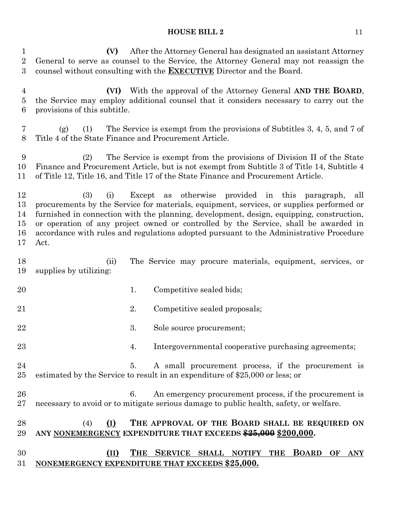**(V)** After the Attorney General has designated an assistant Attorney General to serve as counsel to the Service, the Attorney General may not reassign the counsel without consulting with the **EXECUTIVE** Director and the Board. **(VI)** With the approval of the Attorney General **AND THE BOARD**, the Service may employ additional counsel that it considers necessary to carry out the provisions of this subtitle. (g) (1) The Service is exempt from the provisions of Subtitles 3, 4, 5, and 7 of Title 4 of the State Finance and Procurement Article. (2) The Service is exempt from the provisions of Division II of the State Finance and Procurement Article, but is not exempt from Subtitle 3 of Title 14, Subtitle 4 of Title 12, Title 16, and Title 17 of the State Finance and Procurement Article. (3) (i) Except as otherwise provided in this paragraph, all procurements by the Service for materials, equipment, services, or supplies performed or furnished in connection with the planning, development, design, equipping, construction, or operation of any project owned or controlled by the Service, shall be awarded in accordance with rules and regulations adopted pursuant to the Administrative Procedure Act. (ii) The Service may procure materials, equipment, services, or supplies by utilizing: 20 1. Competitive sealed bids; 21 2. Competitive sealed proposals; 22 3. Sole source procurement; 4. Intergovernmental cooperative purchasing agreements; 5. A small procurement process, if the procurement is estimated by the Service to result in an expenditure of \$25,000 or less; or 6. An emergency procurement process, if the procurement is necessary to avoid or to mitigate serious damage to public health, safety, or welfare. (4) **(I) THE APPROVAL OF THE BOARD SHALL BE REQUIRED ON ANY NONEMERGENCY EXPENDITURE THAT EXCEEDS \$25,000 \$200,000. (II) THE SERVICE SHALL NOTIFY THE BOARD OF ANY NONEMERGENCY EXPENDITURE THAT EXCEEDS \$25,000.**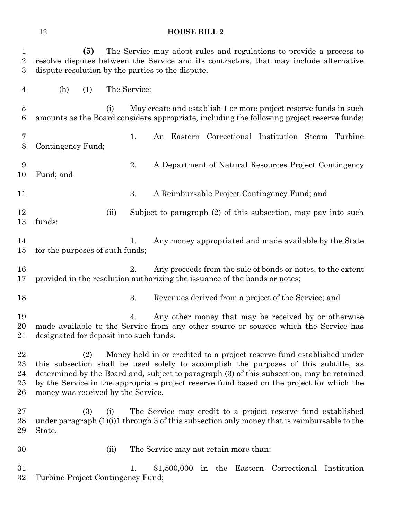| <b>HOUSE BILL 2</b> |  |
|---------------------|--|
|                     |  |

| $\mathbf 1$<br>$\boldsymbol{2}$<br>$\boldsymbol{3}$ | The Service may adopt rules and regulations to provide a process to<br>(5)<br>resolve disputes between the Service and its contractors, that may include alternative<br>dispute resolution by the parties to the dispute.                                                                                                                                                                            |                                                                                                                                                                |  |
|-----------------------------------------------------|------------------------------------------------------------------------------------------------------------------------------------------------------------------------------------------------------------------------------------------------------------------------------------------------------------------------------------------------------------------------------------------------------|----------------------------------------------------------------------------------------------------------------------------------------------------------------|--|
| $\overline{4}$                                      | (h)<br>(1)                                                                                                                                                                                                                                                                                                                                                                                           | The Service:                                                                                                                                                   |  |
| $\overline{5}$<br>6                                 | (i)                                                                                                                                                                                                                                                                                                                                                                                                  | May create and establish 1 or more project reserve funds in such<br>amounts as the Board considers appropriate, including the following project reserve funds: |  |
| 7<br>8                                              | Contingency Fund;                                                                                                                                                                                                                                                                                                                                                                                    | 1.<br>An Eastern Correctional Institution Steam Turbine                                                                                                        |  |
| 9<br>10                                             | Fund; and                                                                                                                                                                                                                                                                                                                                                                                            | 2.<br>A Department of Natural Resources Project Contingency                                                                                                    |  |
| 11                                                  |                                                                                                                                                                                                                                                                                                                                                                                                      | 3.<br>A Reimbursable Project Contingency Fund; and                                                                                                             |  |
| 12<br>13                                            | (ii)<br>funds:                                                                                                                                                                                                                                                                                                                                                                                       | Subject to paragraph (2) of this subsection, may pay into such                                                                                                 |  |
| 14<br>15                                            | for the purposes of such funds;                                                                                                                                                                                                                                                                                                                                                                      | Any money appropriated and made available by the State<br>1.                                                                                                   |  |
| 16<br>17                                            |                                                                                                                                                                                                                                                                                                                                                                                                      | 2.<br>Any proceeds from the sale of bonds or notes, to the extent<br>provided in the resolution authorizing the issuance of the bonds or notes;                |  |
| 18                                                  |                                                                                                                                                                                                                                                                                                                                                                                                      | 3.<br>Revenues derived from a project of the Service; and                                                                                                      |  |
| 19<br>20<br>21                                      | designated for deposit into such funds.                                                                                                                                                                                                                                                                                                                                                              | Any other money that may be received by or otherwise<br>4.<br>made available to the Service from any other source or sources which the Service has             |  |
| 22<br>23<br>24<br>25<br>26                          | Money held in or credited to a project reserve fund established under<br>(2)<br>this subsection shall be used solely to accomplish the purposes of this subtitle, as<br>determined by the Board and, subject to paragraph (3) of this subsection, may be retained<br>by the Service in the appropriate project reserve fund based on the project for which the<br>money was received by the Service. |                                                                                                                                                                |  |
| 27<br>28<br>29                                      | (3)<br>(i)<br>State.                                                                                                                                                                                                                                                                                                                                                                                 | The Service may credit to a project reserve fund established<br>under paragraph (1)(i)1 through 3 of this subsection only money that is reimbursable to the    |  |
| 30                                                  | (ii)                                                                                                                                                                                                                                                                                                                                                                                                 | The Service may not retain more than:                                                                                                                          |  |
| 31<br>32                                            | Turbine Project Contingency Fund;                                                                                                                                                                                                                                                                                                                                                                    | 1.<br>\$1,500,000 in the Eastern Correctional Institution                                                                                                      |  |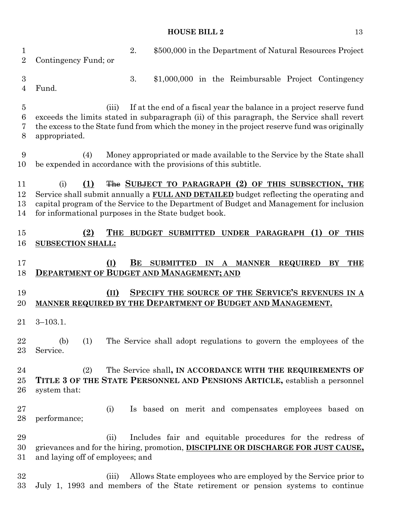| 1<br>$\overline{2}$           | 2.<br>\$500,000 in the Department of Natural Resources Project<br>Contingency Fund; or                                                                                                                                                                                                                                |
|-------------------------------|-----------------------------------------------------------------------------------------------------------------------------------------------------------------------------------------------------------------------------------------------------------------------------------------------------------------------|
| $\boldsymbol{3}$<br>4         | 3.<br>\$1,000,000 in the Reimbursable Project Contingency<br>Fund.                                                                                                                                                                                                                                                    |
| $\overline{5}$<br>6<br>7<br>8 | If at the end of a fiscal year the balance in a project reserve fund<br>(iii)<br>exceeds the limits stated in subparagraph (ii) of this paragraph, the Service shall revert<br>the excess to the State fund from which the money in the project reserve fund was originally<br>appropriated.                          |
| 9<br>10                       | Money appropriated or made available to the Service by the State shall<br>(4)<br>be expended in accordance with the provisions of this subtitle.                                                                                                                                                                      |
| 11<br>12<br>13<br>14          | The SUBJECT TO PARAGRAPH (2) OF THIS SUBSECTION, THE<br>(i)<br>(1)<br>Service shall submit annually a <b>FULL AND DETAILED</b> budget reflecting the operating and<br>capital program of the Service to the Department of Budget and Management for inclusion<br>for informational purposes in the State budget book. |
| $15\,$<br>16                  | (1)<br>(2)<br><b>BUDGET SUBMITTED</b><br>UNDER PARAGRAPH<br>OF<br>THE<br><b>THIS</b><br><b>SUBSECTION SHALL:</b>                                                                                                                                                                                                      |
| 17<br>18                      | (I)<br>BЕ<br><b>SUBMITTED</b><br><b>THE</b><br>IN A MANNER<br><b>REQUIRED</b><br>BY<br><b>DEPARTMENT OF BUDGET AND MANAGEMENT; AND</b>                                                                                                                                                                                |
| 19<br>20                      | SPECIFY THE SOURCE OF THE SERVICE'S REVENUES IN A<br>(II)<br>MANNER REQUIRED BY THE DEPARTMENT OF BUDGET AND MANAGEMENT.                                                                                                                                                                                              |
| 21                            | $3 - 103.1.$                                                                                                                                                                                                                                                                                                          |
| 22<br>23                      | The Service shall adopt regulations to govern the employees of the<br>(b)<br>(1)<br>Service.                                                                                                                                                                                                                          |
| 24<br>$25\,$<br>26            | The Service shall, IN ACCORDANCE WITH THE REQUIREMENTS OF<br>(2)<br>TITLE 3 OF THE STATE PERSONNEL AND PENSIONS ARTICLE, establish a personnel<br>system that:                                                                                                                                                        |
| $27\,$<br>28                  | Is based on merit and compensates employees based on<br>(i)<br>performance;                                                                                                                                                                                                                                           |
| 29<br>30<br>$31\,$            | Includes fair and equitable procedures for the redress of<br>(ii)<br>grievances and for the hiring, promotion, <b>DISCIPLINE OR DISCHARGE FOR JUST CAUSE,</b><br>and laying off of employees; and                                                                                                                     |
| 32                            |                                                                                                                                                                                                                                                                                                                       |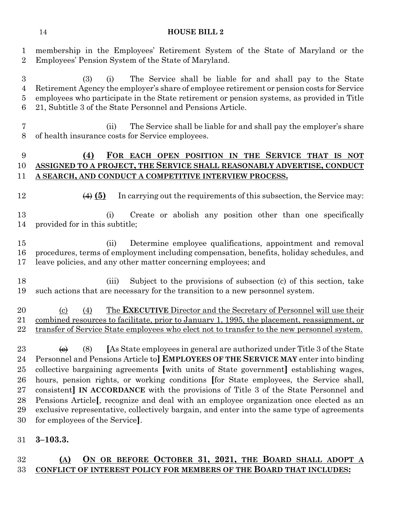membership in the Employees' Retirement System of the State of Maryland or the Employees' Pension System of the State of Maryland.

 (3) (i) The Service shall be liable for and shall pay to the State Retirement Agency the employer's share of employee retirement or pension costs for Service employees who participate in the State retirement or pension systems, as provided in Title 21, Subtitle 3 of the State Personnel and Pensions Article.

 (ii) The Service shall be liable for and shall pay the employer's share of health insurance costs for Service employees.

## **(4) FOR EACH OPEN POSITION IN THE SERVICE THAT IS NOT ASSIGNED TO A PROJECT, THE SERVICE SHALL REASONABLY ADVERTISE, CONDUCT A SEARCH, AND CONDUCT A COMPETITIVE INTERVIEW PROCESS.**

**(4) (5)** In carrying out the requirements of this subsection, the Service may:

13 (i) Create or abolish any position other than one specifically provided for in this subtitle;

 (ii) Determine employee qualifications, appointment and removal procedures, terms of employment including compensation, benefits, holiday schedules, and leave policies, and any other matter concerning employees; and

 (iii) Subject to the provisions of subsection (c) of this section, take such actions that are necessary for the transition to a new personnel system.

#### (c) (4) The **EXECUTIVE** Director and the Secretary of Personnel will use their combined resources to facilitate, prior to January 1, 1995, the placement, reassignment, or 22 transfer of Service State employees who elect not to transfer to the new personnel system.

 $\leftrightarrow$  (8) [As State employees in general are authorized under Title 3 of the State Personnel and Pensions Article to**] EMPLOYEES OF THE SERVICE MAY** enter into binding collective bargaining agreements **[**with units of State government**]** establishing wages, hours, pension rights, or working conditions **[**for State employees, the Service shall, consistent**] IN ACCORDANCE** with the provisions of Title 3 of the State Personnel and Pensions Article**[**, recognize and deal with an employee organization once elected as an exclusive representative, collectively bargain, and enter into the same type of agreements for employees of the Service**]**.

**3–103.3.**

## **(A) ON OR BEFORE OCTOBER 31, 2021, THE BOARD SHALL ADOPT A CONFLICT OF INTEREST POLICY FOR MEMBERS OF THE BOARD THAT INCLUDES:**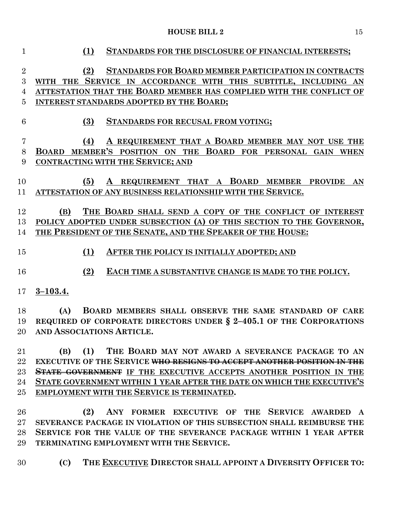| $\mathbf{1}$   | (1)<br>STANDARDS FOR THE DISCLOSURE OF FINANCIAL INTERESTS;                              |
|----------------|------------------------------------------------------------------------------------------|
| $\sqrt{2}$     | STANDARDS FOR BOARD MEMBER PARTICIPATION IN CONTRACTS<br>(2)                             |
| 3              | WITH THE SERVICE IN ACCORDANCE WITH THIS SUBTITLE, INCLUDING AN                          |
| $\overline{4}$ | ATTESTATION THAT THE BOARD MEMBER HAS COMPLIED WITH THE CONFLICT OF                      |
| 5              | INTEREST STANDARDS ADOPTED BY THE BOARD;                                                 |
|                |                                                                                          |
| 6              | (3)<br>STANDARDS FOR RECUSAL FROM VOTING;                                                |
| $\overline{7}$ | A REQUIREMENT THAT A BOARD MEMBER MAY NOT USE THE<br>(4)                                 |
| $8\,$          | BOARD MEMBER'S POSITION ON THE BOARD FOR PERSONAL GAIN WHEN                              |
| 9              | <b>CONTRACTING WITH THE SERVICE; AND</b>                                                 |
|                |                                                                                          |
| 10             | (5)<br>A REQUIREMENT THAT A BOARD MEMBER PROVIDE<br>AN                                   |
| 11             | ATTESTATION OF ANY BUSINESS RELATIONSHIP WITH THE SERVICE.                               |
|                |                                                                                          |
| 12             | THE BOARD SHALL SEND A COPY OF THE CONFLICT OF INTEREST<br>(B)                           |
| 13             | POLICY ADOPTED UNDER SUBSECTION (A) OF THIS SECTION TO THE GOVERNOR,                     |
| 14             | THE PRESIDENT OF THE SENATE, AND THE SPEAKER OF THE HOUSE:                               |
|                |                                                                                          |
| 15             | (1)<br>AFTER THE POLICY IS INITIALLY ADOPTED; AND                                        |
| 16             | (2)<br>EACH TIME A SUBSTANTIVE CHANGE IS MADE TO THE POLICY.                             |
|                |                                                                                          |
| 17             | $3 - 103.4.$                                                                             |
|                |                                                                                          |
| 18             | BOARD MEMBERS SHALL OBSERVE THE SAME STANDARD OF CARE<br>(A)                             |
| 19             | REQUIRED OF CORPORATE DIRECTORS UNDER § 2-405.1 OF THE CORPORATIONS                      |
| 20             | AND ASSOCIATIONS ARTICLE.                                                                |
| 21             | (1)<br>THE BOARD MAY NOT AWARD A SEVERANCE PACKAGE TO AN<br>(B)                          |
| 22             | <b>EXECUTIVE OF THE SERVICE <del>WHO RESIGNS TO ACCEPT ANOTHER POSITION IN THE</del></b> |
| 23             | <b>STATE GOVERNMENT</b> IF THE EXECUTIVE ACCEPTS ANOTHER POSITION IN THE                 |
| 24             | STATE GOVERNMENT WITHIN 1 YEAR AFTER THE DATE ON WHICH THE EXECUTIVE'S                   |
| 25             | EMPLOYMENT WITH THE SERVICE IS TERMINATED.                                               |
|                |                                                                                          |
| 26             | ANY FORMER EXECUTIVE OF THE SERVICE AWARDED A<br>(2)                                     |
| $27\,$         | SEVERANCE PACKAGE IN VIOLATION OF THIS SUBSECTION SHALL REIMBURSE THE                    |
| 28             | SERVICE FOR THE VALUE OF THE SEVERANCE PACKAGE WITHIN 1 YEAR AFTER                       |
| 29             | TERMINATING EMPLOYMENT WITH THE SERVICE.                                                 |
|                |                                                                                          |
| 30             | THE EXECUTIVE DIRECTOR SHALL APPOINT A DIVERSITY OFFICER TO:<br>(C)                      |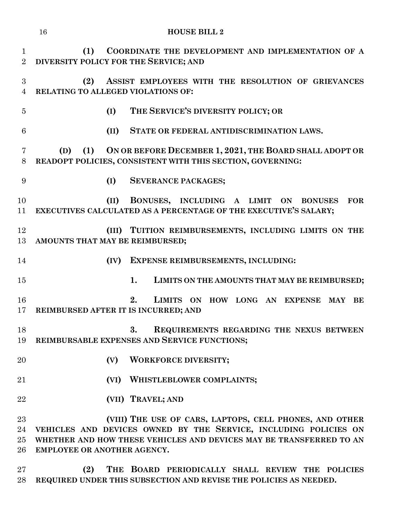|                                    | <b>HOUSE BILL 2</b><br>16                                                                                                                                                                                                         |
|------------------------------------|-----------------------------------------------------------------------------------------------------------------------------------------------------------------------------------------------------------------------------------|
| $\mathbf 1$<br>$\overline{2}$      | COORDINATE THE DEVELOPMENT AND IMPLEMENTATION OF A<br>(1)<br>DIVERSITY POLICY FOR THE SERVICE; AND                                                                                                                                |
| $\boldsymbol{3}$<br>$\overline{4}$ | (2)<br>ASSIST EMPLOYEES WITH THE RESOLUTION OF GRIEVANCES<br>RELATING TO ALLEGED VIOLATIONS OF:                                                                                                                                   |
| $\overline{5}$                     | THE SERVICE'S DIVERSITY POLICY; OR<br>(I)                                                                                                                                                                                         |
| 6                                  | (II)<br>STATE OR FEDERAL ANTIDISCRIMINATION LAWS.                                                                                                                                                                                 |
| 7<br>8                             | (1) ON OR BEFORE DECEMBER 1, 2021, THE BOARD SHALL ADOPT OR<br>(D)<br>READOPT POLICIES, CONSISTENT WITH THIS SECTION, GOVERNING:                                                                                                  |
| 9                                  | (I)<br><b>SEVERANCE PACKAGES;</b>                                                                                                                                                                                                 |
| 10<br>11                           | BONUSES, INCLUDING A LIMIT ON<br>(II)<br><b>FOR</b><br><b>BONUSES</b><br>EXECUTIVES CALCULATED AS A PERCENTAGE OF THE EXECUTIVE'S SALARY;                                                                                         |
| 12<br>13                           | (III) TUITION REIMBURSEMENTS, INCLUDING LIMITS ON THE<br>AMOUNTS THAT MAY BE REIMBURSED;                                                                                                                                          |
| 14                                 | <b>EXPENSE REIMBURSEMENTS, INCLUDING:</b><br>(IV)                                                                                                                                                                                 |
| 15                                 | 1.<br>LIMITS ON THE AMOUNTS THAT MAY BE REIMBURSED;                                                                                                                                                                               |
| 16<br>17                           | 2.<br>LIMITS ON HOW LONG AN EXPENSE<br>MAY<br>BE<br>REIMBURSED AFTER IT IS INCURRED; AND                                                                                                                                          |
| 18<br>19                           | 3.<br>REQUIREMENTS REGARDING THE NEXUS BETWEEN<br>REIMBURSABLE EXPENSES AND SERVICE FUNCTIONS;                                                                                                                                    |
| 20                                 | <b>WORKFORCE DIVERSITY;</b><br>(V)                                                                                                                                                                                                |
| 21                                 | (VI) WHISTLEBLOWER COMPLAINTS;                                                                                                                                                                                                    |
| 22                                 | (VII) TRAVEL; AND                                                                                                                                                                                                                 |
| 23<br>24<br>$25\,$<br>$26\,$       | (VIII) THE USE OF CARS, LAPTOPS, CELL PHONES, AND OTHER<br>VEHICLES AND DEVICES OWNED BY THE SERVICE, INCLUDING POLICIES ON<br>WHETHER AND HOW THESE VEHICLES AND DEVICES MAY BE TRANSFERRED TO AN<br>EMPLOYEE OR ANOTHER AGENCY. |
| 27                                 | (9) THE ROARD PERIODICALLY SHALL REVIEW THE POLICIES                                                                                                                                                                              |

 **(2) THE BOARD PERIODICALLY SHALL REVIEW THE POLICIES REQUIRED UNDER THIS SUBSECTION AND REVISE THE POLICIES AS NEEDED.**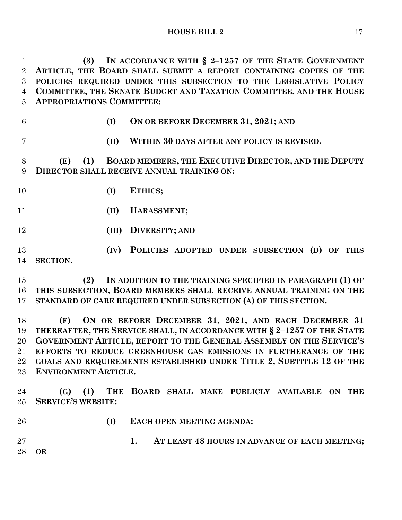**(3) IN ACCORDANCE WITH § 2–1257 OF THE STATE GOVERNMENT ARTICLE, THE BOARD SHALL SUBMIT A REPORT CONTAINING COPIES OF THE POLICIES REQUIRED UNDER THIS SUBSECTION TO THE LEGISLATIVE POLICY COMMITTEE, THE SENATE BUDGET AND TAXATION COMMITTEE, AND THE HOUSE APPROPRIATIONS COMMITTEE:**

- 
- **(I) ON OR BEFORE DECEMBER 31, 2021; AND**
- 
- **(II) WITHIN 30 DAYS AFTER ANY POLICY IS REVISED.**

 **(E) (1) BOARD MEMBERS, THE EXECUTIVE DIRECTOR, AND THE DEPUTY DIRECTOR SHALL RECEIVE ANNUAL TRAINING ON:**

- **(I) ETHICS;**
- **(II) HARASSMENT;**
- **(III) DIVERSITY; AND**

 **(IV) POLICIES ADOPTED UNDER SUBSECTION (D) OF THIS SECTION.**

 **(2) IN ADDITION TO THE TRAINING SPECIFIED IN PARAGRAPH (1) OF THIS SUBSECTION, BOARD MEMBERS SHALL RECEIVE ANNUAL TRAINING ON THE STANDARD OF CARE REQUIRED UNDER SUBSECTION (A) OF THIS SECTION.**

 **(F) ON OR BEFORE DECEMBER 31, 2021, AND EACH DECEMBER 31 THEREAFTER, THE SERVICE SHALL, IN ACCORDANCE WITH § 2–1257 OF THE STATE GOVERNMENT ARTICLE, REPORT TO THE GENERAL ASSEMBLY ON THE SERVICE'S EFFORTS TO REDUCE GREENHOUSE GAS EMISSIONS IN FURTHERANCE OF THE GOALS AND REQUIREMENTS ESTABLISHED UNDER TITLE 2, SUBTITLE 12 OF THE ENVIRONMENT ARTICLE.**

 **(G) (1) THE BOARD SHALL MAKE PUBLICLY AVAILABLE ON THE SERVICE'S WEBSITE:**

- 
- **(I) EACH OPEN MEETING AGENDA:**

 **1. AT LEAST 48 HOURS IN ADVANCE OF EACH MEETING; OR**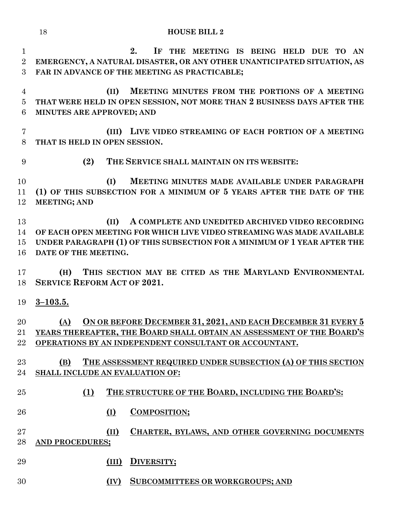|                                    | 18<br><b>HOUSE BILL 2</b>                                                                                                                                                                                                              |
|------------------------------------|----------------------------------------------------------------------------------------------------------------------------------------------------------------------------------------------------------------------------------------|
| $\mathbf 1$<br>$\overline{2}$<br>3 | 2.<br>IF THE MEETING IS BEING HELD DUE TO AN<br>EMERGENCY, A NATURAL DISASTER, OR ANY OTHER UNANTICIPATED SITUATION, AS<br>FAR IN ADVANCE OF THE MEETING AS PRACTICABLE;                                                               |
| 4<br>$\overline{5}$<br>6           | MEETING MINUTES FROM THE PORTIONS OF A MEETING<br>(II)<br>THAT WERE HELD IN OPEN SESSION, NOT MORE THAN 2 BUSINESS DAYS AFTER THE<br>MINUTES ARE APPROVED; AND                                                                         |
| 7<br>8                             | LIVE VIDEO STREAMING OF EACH PORTION OF A MEETING<br>(III)<br>THAT IS HELD IN OPEN SESSION.                                                                                                                                            |
| 9                                  | (2)<br>THE SERVICE SHALL MAINTAIN ON ITS WEBSITE:                                                                                                                                                                                      |
| 10<br>11<br>12                     | (I)<br>MEETING MINUTES MADE AVAILABLE UNDER PARAGRAPH<br>(1) OF THIS SUBSECTION FOR A MINIMUM OF 5 YEARS AFTER THE DATE OF THE<br><b>MEETING; AND</b>                                                                                  |
| 13<br>14<br>15<br>16               | A COMPLETE AND UNEDITED ARCHIVED VIDEO RECORDING<br>(II)<br>OF EACH OPEN MEETING FOR WHICH LIVE VIDEO STREAMING WAS MADE AVAILABLE<br>UNDER PARAGRAPH (1) OF THIS SUBSECTION FOR A MINIMUM OF 1 YEAR AFTER THE<br>DATE OF THE MEETING. |
| 17                                 | THIS SECTION MAY BE CITED AS THE MARYLAND ENVIRONMENTAL<br>(H)                                                                                                                                                                         |
| 18                                 | <b>SERVICE REFORM ACT OF 2021.</b>                                                                                                                                                                                                     |
| 19                                 | $3 - 103.5.$                                                                                                                                                                                                                           |
| 20<br>21<br>22                     | (A) ON OR BEFORE DECEMBER 31, 2021, AND EACH DECEMBER 31 EVERY 5<br>YEARS THEREAFTER, THE BOARD SHALL OBTAIN AN ASSESSMENT OF THE BOARD'S<br>OPERATIONS BY AN INDEPENDENT CONSULTANT OR ACCOUNTANT.                                    |
| 23<br>24                           | THE ASSESSMENT REQUIRED UNDER SUBSECTION (A) OF THIS SECTION<br>(B)<br>SHALL INCLUDE AN EVALUATION OF:                                                                                                                                 |
| 25                                 | THE STRUCTURE OF THE BOARD, INCLUDING THE BOARD'S:<br>(1)                                                                                                                                                                              |
| 26                                 | <b>COMPOSITION;</b><br>$\Omega$                                                                                                                                                                                                        |
| $27\,$<br>28                       | (II)<br>CHARTER, BYLAWS, AND OTHER GOVERNING DOCUMENTS<br>AND PROCEDURES;                                                                                                                                                              |
| 29                                 | DIVERSITY;<br>(III)                                                                                                                                                                                                                    |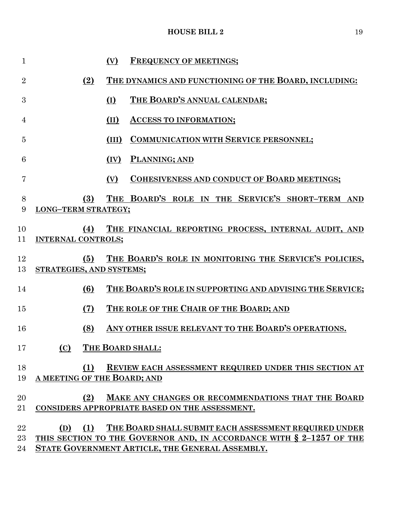| $\mathbf{1}$   |                                   | (V)   | <b>FREQUENCY OF MEETINGS;</b>                                                                                                 |
|----------------|-----------------------------------|-------|-------------------------------------------------------------------------------------------------------------------------------|
| $\overline{2}$ | (2)                               |       | THE DYNAMICS AND FUNCTIONING OF THE BOARD, INCLUDING:                                                                         |
| 3              |                                   | (I)   | THE BOARD'S ANNUAL CALENDAR:                                                                                                  |
| 4              |                                   | (II)  | <b>ACCESS TO INFORMATION;</b>                                                                                                 |
| $\overline{5}$ |                                   | (III) | <b>COMMUNICATION WITH SERVICE PERSONNEL;</b>                                                                                  |
| 6              |                                   | (IV)  | PLANNING; AND                                                                                                                 |
| 7              |                                   | (V)   | <b>COHESIVENESS AND CONDUCT OF BOARD MEETINGS;</b>                                                                            |
| 8<br>9         | (3)<br><b>LONG-TERM STRATEGY;</b> |       | THE BOARD'S ROLE IN THE SERVICE'S SHORT-TERM AND                                                                              |
| 10<br>11       | (4)<br><b>INTERNAL CONTROLS;</b>  |       | THE FINANCIAL REPORTING PROCESS, INTERNAL AUDIT, AND                                                                          |
| 12<br>13       | (5)<br>STRATEGIES, AND SYSTEMS;   |       | THE BOARD'S ROLE IN MONITORING THE SERVICE'S POLICIES,                                                                        |
| 14             | (6)                               |       | THE BOARD'S ROLE IN SUPPORTING AND ADVISING THE SERVICE;                                                                      |
| 15             | (7)                               |       | THE ROLE OF THE CHAIR OF THE BOARD; AND                                                                                       |
| 16             | (8)                               |       | ANY OTHER ISSUE RELEVANT TO THE BOARD'S OPERATIONS.                                                                           |
| 17             | (C)                               |       | THE BOARD SHALL:                                                                                                              |
| 18             | (1)                               |       | REVIEW EACH ASSESSMENT REQUIRED UNDER THIS SECTION AT                                                                         |
| 19             | A MEETING OF THE BOARD; AND       |       |                                                                                                                               |
| 20<br>21       | (2)                               |       | MAKE ANY CHANGES OR RECOMMENDATIONS THAT THE BOARD<br>CONSIDERS APPROPRIATE BASED ON THE ASSESSMENT.                          |
| 22<br>23       | (1)<br>(D)                        |       | THE BOARD SHALL SUBMIT EACH ASSESSMENT REQUIRED UNDER<br>THIS SECTION TO THE GOVERNOR AND, IN ACCORDANCE WITH § 2-1257 OF THE |
| 24             |                                   |       | STATE GOVERNMENT ARTICLE, THE GENERAL ASSEMBLY.                                                                               |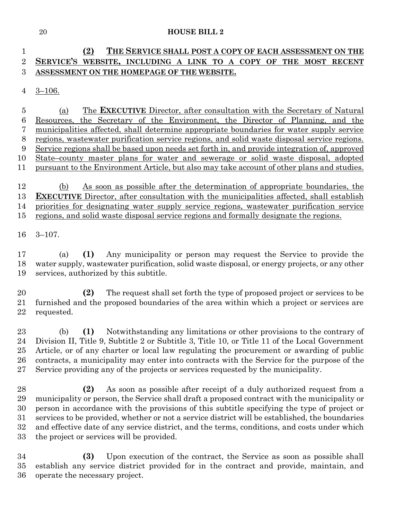## **(2) THE SERVICE SHALL POST A COPY OF EACH ASSESSMENT ON THE SERVICE'S WEBSITE, INCLUDING A LINK TO A COPY OF THE MOST RECENT ASSESSMENT ON THE HOMEPAGE OF THE WEBSITE.**

3–106.

 (a) The **EXECUTIVE** Director, after consultation with the Secretary of Natural Resources, the Secretary of the Environment, the Director of Planning, and the municipalities affected, shall determine appropriate boundaries for water supply service regions, wastewater purification service regions, and solid waste disposal service regions. Service regions shall be based upon needs set forth in, and provide integration of, approved State–county master plans for water and sewerage or solid waste disposal, adopted pursuant to the Environment Article, but also may take account of other plans and studies.

 (b) As soon as possible after the determination of appropriate boundaries, the **EXECUTIVE** Director, after consultation with the municipalities affected, shall establish priorities for designating water supply service regions, wastewater purification service regions, and solid waste disposal service regions and formally designate the regions.

3–107.

 (a) **(1)** Any municipality or person may request the Service to provide the water supply, wastewater purification, solid waste disposal, or energy projects, or any other services, authorized by this subtitle.

 **(2)** The request shall set forth the type of proposed project or services to be furnished and the proposed boundaries of the area within which a project or services are requested.

 (b) **(1)** Notwithstanding any limitations or other provisions to the contrary of Division II, Title 9, Subtitle 2 or Subtitle 3, Title 10, or Title 11 of the Local Government Article, or of any charter or local law regulating the procurement or awarding of public contracts, a municipality may enter into contracts with the Service for the purpose of the Service providing any of the projects or services requested by the municipality.

 **(2)** As soon as possible after receipt of a duly authorized request from a municipality or person, the Service shall draft a proposed contract with the municipality or person in accordance with the provisions of this subtitle specifying the type of project or services to be provided, whether or not a service district will be established, the boundaries and effective date of any service district, and the terms, conditions, and costs under which the project or services will be provided.

 **(3)** Upon execution of the contract, the Service as soon as possible shall establish any service district provided for in the contract and provide, maintain, and operate the necessary project.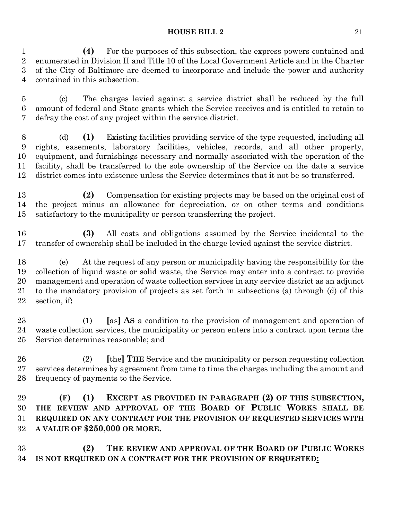**(4)** For the purposes of this subsection, the express powers contained and enumerated in Division II and Title 10 of the Local Government Article and in the Charter of the City of Baltimore are deemed to incorporate and include the power and authority contained in this subsection.

 (c) The charges levied against a service district shall be reduced by the full amount of federal and State grants which the Service receives and is entitled to retain to defray the cost of any project within the service district.

 (d) **(1)** Existing facilities providing service of the type requested, including all rights, easements, laboratory facilities, vehicles, records, and all other property, equipment, and furnishings necessary and normally associated with the operation of the facility, shall be transferred to the sole ownership of the Service on the date a service district comes into existence unless the Service determines that it not be so transferred.

 **(2)** Compensation for existing projects may be based on the original cost of the project minus an allowance for depreciation, or on other terms and conditions satisfactory to the municipality or person transferring the project.

 **(3)** All costs and obligations assumed by the Service incidental to the transfer of ownership shall be included in the charge levied against the service district.

 (e) At the request of any person or municipality having the responsibility for the collection of liquid waste or solid waste, the Service may enter into a contract to provide management and operation of waste collection services in any service district as an adjunct to the mandatory provision of projects as set forth in subsections (a) through (d) of this section, if**:**

 (1) **[**as**] AS** a condition to the provision of management and operation of waste collection services, the municipality or person enters into a contract upon terms the Service determines reasonable; and

 (2) **[**the**] THE** Service and the municipality or person requesting collection services determines by agreement from time to time the charges including the amount and frequency of payments to the Service.

 **(F) (1) EXCEPT AS PROVIDED IN PARAGRAPH (2) OF THIS SUBSECTION, THE REVIEW AND APPROVAL OF THE BOARD OF PUBLIC WORKS SHALL BE REQUIRED ON ANY CONTRACT FOR THE PROVISION OF REQUESTED SERVICES WITH A VALUE OF \$250,000 OR MORE.**

 **(2) THE REVIEW AND APPROVAL OF THE BOARD OF PUBLIC WORKS IS NOT REQUIRED ON A CONTRACT FOR THE PROVISION OF REQUESTED:**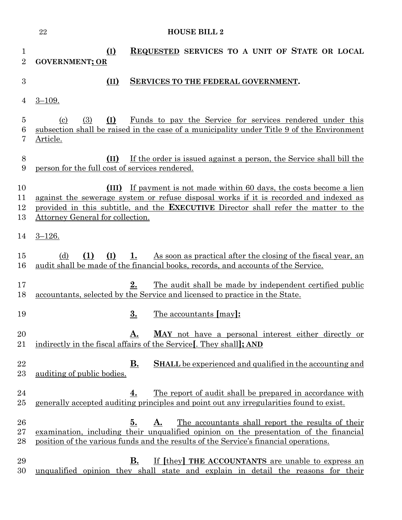|                      | $\bf 22$<br><b>HOUSE BILL 2</b>                                                                                                                                                                                                                                                                 |
|----------------------|-------------------------------------------------------------------------------------------------------------------------------------------------------------------------------------------------------------------------------------------------------------------------------------------------|
| 1<br>$\overline{2}$  | REQUESTED SERVICES TO A UNIT OF STATE OR LOCAL<br>$\overline{(\mathbf{I})}$<br><b>GOVERNMENT; OR</b>                                                                                                                                                                                            |
| 3                    | (II)<br><b>SERVICES TO THE FEDERAL GOVERNMENT.</b>                                                                                                                                                                                                                                              |
| 4                    | $3 - 109.$                                                                                                                                                                                                                                                                                      |
| 5<br>6<br>7          | <u>Funds to pay the Service for services rendered under this</u><br>(I)<br>(3)<br>(c)<br>subsection shall be raised in the case of a municipality under Title 9 of the Environment<br>Article.                                                                                                  |
| 8<br>9               | If the order is issued against a person, the Service shall bill the<br>(II)<br>person for the full cost of services rendered.                                                                                                                                                                   |
| 10<br>11<br>12<br>13 | (III) If payment is not made within 60 days, the costs become a lien<br>against the sewerage system or refuse disposal works if it is recorded and indexed as<br>provided in this subtitle, and the <b>EXECUTIVE</b> Director shall refer the matter to the<br>Attorney General for collection. |
| 14                   | $3 - 126.$                                                                                                                                                                                                                                                                                      |
| 15<br>16             | As soon as practical after the closing of the fiscal year, an<br>(d)<br>(1)<br>(I)<br>$1_{\cdot}$<br>audit shall be made of the financial books, records, and accounts of the Service.                                                                                                          |
| 17<br>18             | 2.<br>The audit shall be made by independent certified public<br>accountants, selected by the Service and licensed to practice in the State.                                                                                                                                                    |
| 19                   | $\overline{\mathbf{3}}$ .<br><u>The accountants</u> [may]:                                                                                                                                                                                                                                      |
| 20<br>21             | <b>MAY</b> not have a personal interest either directly or<br>А.<br>indirectly in the fiscal affairs of the Service. They shall: AND                                                                                                                                                            |
| 22<br>23             | <b>B.</b><br><b>SHALL</b> be experienced and qualified in the accounting and<br>auditing of public bodies.                                                                                                                                                                                      |
| 24<br>$25\,$         | 4.<br><u>The report of audit shall be prepared in accordance with</u><br>generally accepted auditing principles and point out any irregularities found to exist.                                                                                                                                |
| 26<br>$27\,$<br>28   | The accountants shall report the results of their<br>5.<br>A.<br>examination, including their unqualified opinion on the presentation of the financial<br>position of the various funds and the results of the Service's financial operations.                                                  |
| 29<br>30             | If [they] THE ACCOUNTANTS are unable to express an<br>В.<br>unqualified opinion they shall state and explain in detail the reasons for their                                                                                                                                                    |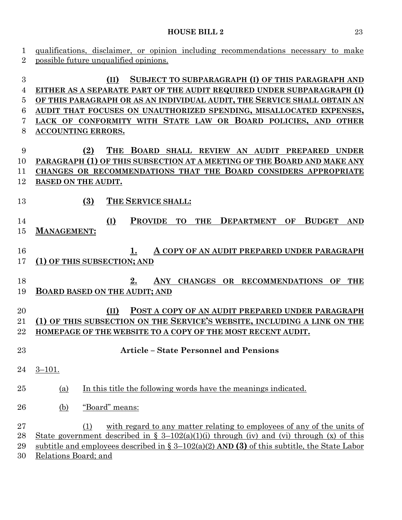| qualifications, disclaimer, or opinion including recommendations necessary to make                         |
|------------------------------------------------------------------------------------------------------------|
| possible future unqualified opinions.                                                                      |
|                                                                                                            |
| SUBJECT TO SUBPARAGRAPH (I) OF THIS PARAGRAPH AND<br>(II)                                                  |
| EITHER AS A SEPARATE PART OF THE AUDIT REQUIRED UNDER SUBPARAGRAPH (I)                                     |
| OF THIS PARAGRAPH OR AS AN INDIVIDUAL AUDIT, THE SERVICE SHALL OBTAIN AN                                   |
| AUDIT THAT FOCUSES ON UNAUTHORIZED SPENDING, MISALLOCATED EXPENSES,                                        |
| LACK OF CONFORMITY WITH STATE LAW OR BOARD POLICIES, AND OTHER                                             |
| <b>ACCOUNTING ERRORS.</b>                                                                                  |
|                                                                                                            |
| <b>THE</b><br>BOARD SHALL REVIEW AN AUDIT PREPARED<br>(2)<br><b>UNDER</b>                                  |
| PARAGRAPH (1) OF THIS SUBSECTION AT A MEETING OF THE BOARD AND MAKE ANY                                    |
| CHANGES OR RECOMMENDATIONS THAT THE BOARD CONSIDERS APPROPRIATE                                            |
| <b>BASED ON THE AUDIT.</b>                                                                                 |
|                                                                                                            |
| (3)<br>THE SERVICE SHALL:                                                                                  |
|                                                                                                            |
| (I)<br><b>PROVIDE</b><br><b>TO</b><br><b>DEPARTMENT</b><br><b>BUDGET</b><br><b>THE</b><br>OF<br><b>AND</b> |
| <b>MANAGEMENT:</b>                                                                                         |
|                                                                                                            |
| A COPY OF AN AUDIT PREPARED UNDER PARAGRAPH<br>1.<br>(1) OF THIS SUBSECTION; AND                           |
|                                                                                                            |
| 2.<br>ANY<br>CHANGES OR RECOMMENDATIONS<br>OF<br><b>THE</b>                                                |
| <b>BOARD BASED ON THE AUDIT; AND</b>                                                                       |
|                                                                                                            |
| (II)<br>POST A COPY OF AN AUDIT PREPARED UNDER PARAGRAPH                                                   |
| (1) OF THIS SUBSECTION ON THE SERVICE'S WEBSITE, INCLUDING A LINK ON THE                                   |
| HOMEPAGE OF THE WEBSITE TO A COPY OF THE MOST RECENT AUDIT.                                                |
|                                                                                                            |
| <b>Article - State Personnel and Pensions</b>                                                              |
|                                                                                                            |
| $3 - 101.$                                                                                                 |
| In this title the following words have the meanings indicated.<br>(a)                                      |
|                                                                                                            |
| "Board" means:<br>(b)                                                                                      |
|                                                                                                            |
| with regard to any matter relating to employees of any of the units of<br>(1)                              |
| <u>State government described in § 3–102(a)(1)(i) through (iv) and (vi) through (x) of this</u>            |
| subtitle and employees described in $\S 3-102(a)(2)$ AND (3) of this subtitle, the State Labor             |
| Relations Board; and                                                                                       |
|                                                                                                            |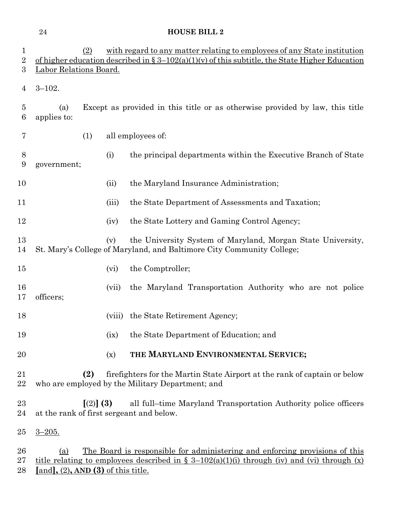| 1<br>$\overline{2}$<br>$\boldsymbol{3}$ | (2)<br>Labor Relations Board.                         |        | with regard to any matter relating to employees of any State institution<br>of higher education described in $\S 3-102(a)(1)(v)$ of this subtitle, the State Higher Education            |
|-----------------------------------------|-------------------------------------------------------|--------|------------------------------------------------------------------------------------------------------------------------------------------------------------------------------------------|
| 4                                       | $3 - 102.$                                            |        |                                                                                                                                                                                          |
| $\overline{5}$<br>6                     | (a)<br>applies to:                                    |        | Except as provided in this title or as otherwise provided by law, this title                                                                                                             |
| 7                                       | (1)                                                   |        | all employees of:                                                                                                                                                                        |
| 8<br>$\boldsymbol{9}$                   | government;                                           | (i)    | the principal departments within the Executive Branch of State                                                                                                                           |
| 10                                      |                                                       | (ii)   | the Maryland Insurance Administration;                                                                                                                                                   |
| 11                                      |                                                       | (iii)  | the State Department of Assessments and Taxation;                                                                                                                                        |
| 12                                      |                                                       | (iv)   | the State Lottery and Gaming Control Agency;                                                                                                                                             |
| 13<br>14                                |                                                       | (v)    | the University System of Maryland, Morgan State University,<br>St. Mary's College of Maryland, and Baltimore City Community College;                                                     |
| 15                                      |                                                       | (vi)   | the Comptroller;                                                                                                                                                                         |
| 16<br>17                                | officers;                                             | (vii)  | the Maryland Transportation Authority who are not police                                                                                                                                 |
| 18                                      |                                                       | (viii) | the State Retirement Agency;                                                                                                                                                             |
| 19                                      |                                                       |        | (ix) the State Department of Education; and                                                                                                                                              |
| 20                                      |                                                       | (x)    | THE MARYLAND ENVIRONMENTAL SERVICE;                                                                                                                                                      |
| 21<br>22                                | (2)                                                   |        | fire fighters for the Martin State Airport at the rank of captain or below<br>who are employed by the Military Department; and                                                           |
| 23<br>24                                | $(2)$ (3)<br>at the rank of first sergeant and below. |        | all full–time Maryland Transportation Authority police officers                                                                                                                          |
| 25                                      | $3 - 205.$                                            |        |                                                                                                                                                                                          |
| 26<br>27<br>28                          | (a)<br>[and], $(2)$ , AND $(3)$ of this title.        |        | <u>The Board is responsible for administering and enforcing provisions of this</u><br><u>title relating to employees described in § 3–102(a)(1)(i) through (iv) and (vi) through (x)</u> |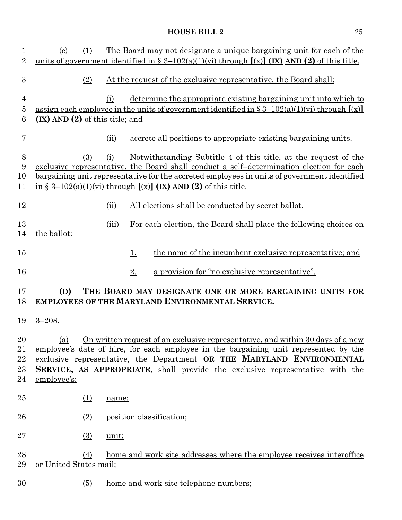| 1<br>$\overline{2}$ | $\left( \mathrm{c}\right)$         | (1)              |       | The Board may not designate a unique bargaining unit for each of the<br>units of government identified in § 3–102(a)(1)(vi) through $[(x)]$ (IX) AND (2) of this title. |
|---------------------|------------------------------------|------------------|-------|-------------------------------------------------------------------------------------------------------------------------------------------------------------------------|
|                     |                                    |                  |       |                                                                                                                                                                         |
| 3                   |                                    | (2)              |       | At the request of the exclusive representative, the Board shall:                                                                                                        |
| $\overline{4}$      |                                    |                  | (i)   | determine the appropriate existing bargaining unit into which to                                                                                                        |
| 5                   |                                    |                  |       | assign each employee in the units of government identified in $\S 3-102(a)(1)(vi)$ through $(x)$                                                                        |
| 6                   | $(X)$ AND $(2)$ of this title; and |                  |       |                                                                                                                                                                         |
| 7                   |                                    |                  | (ii)  | accrete all positions to appropriate existing bargaining units.                                                                                                         |
| $8\,$               |                                    | (3)              | (i)   | Notwithstanding Subtitle 4 of this title, at the request of the                                                                                                         |
| 9                   |                                    |                  |       | exclusive representative, the Board shall conduct a self-determination election for each                                                                                |
| 10                  |                                    |                  |       | bargaining unit representative for the accreted employees in units of government identified                                                                             |
| 11                  |                                    |                  |       | in § 3–102(a)(1)(vi) through $[(x)]$ (IX) AND (2) of this title.                                                                                                        |
|                     |                                    |                  |       |                                                                                                                                                                         |
| 12                  |                                    |                  | (ii)  | All elections shall be conducted by secret ballot.                                                                                                                      |
| 13                  |                                    |                  | (iii) | For each election, the Board shall place the following choices on                                                                                                       |
| 14                  | the ballot:                        |                  |       |                                                                                                                                                                         |
|                     |                                    |                  |       |                                                                                                                                                                         |
| 15                  |                                    |                  |       | the name of the incumbent exclusive representative; and<br><u>1.</u>                                                                                                    |
| 16                  |                                    |                  |       | a provision for "no exclusive representative".<br>$2_{\cdot}$                                                                                                           |
| 17                  | (D)                                |                  |       | THE BOARD MAY DESIGNATE ONE OR MORE BARGAINING UNITS FOR                                                                                                                |
| 18                  |                                    |                  |       | EMPLOYEES OF THE MARYLAND ENVIRONMENTAL SERVICE.                                                                                                                        |
|                     |                                    |                  |       |                                                                                                                                                                         |
| 19                  | $3 - 208.$                         |                  |       |                                                                                                                                                                         |
|                     |                                    |                  |       |                                                                                                                                                                         |
| 20<br>21            |                                    |                  |       | (a) On written request of an exclusive representative, and within 30 days of a new                                                                                      |
|                     |                                    |                  |       | employee's date of hire, for each employee in the bargaining unit represented by the                                                                                    |
| 22                  |                                    |                  |       | exclusive representative, the Department OR THE MARYLAND ENVIRONMENTAL                                                                                                  |
| 23<br>24            | employee's:                        |                  |       | <b>SERVICE, AS APPROPRIATE, shall provide the exclusive representative with the</b>                                                                                     |
|                     |                                    |                  |       |                                                                                                                                                                         |
| 25                  |                                    | <u>(1)</u>       | name; |                                                                                                                                                                         |
|                     |                                    |                  |       |                                                                                                                                                                         |
| 26                  |                                    | (2)              |       | position classification;                                                                                                                                                |
| $27\,$              |                                    | $\left(3\right)$ | unit; |                                                                                                                                                                         |
| 28                  |                                    |                  |       |                                                                                                                                                                         |
| 29                  | or United States mail;             | (4)              |       | home and work site addresses where the employee receives interoffice                                                                                                    |
|                     |                                    |                  |       |                                                                                                                                                                         |
| 30                  |                                    | $\left(5\right)$ |       | home and work site telephone numbers;                                                                                                                                   |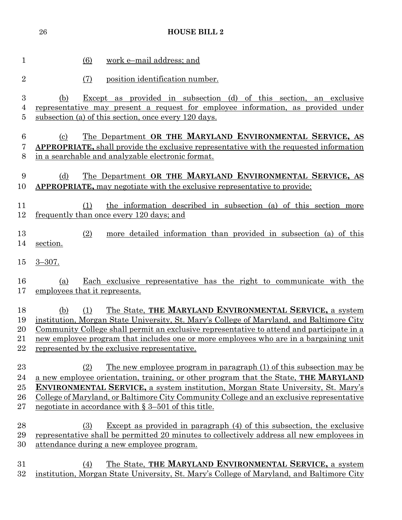|                | 26                         | <b>HOUSE BILL 2</b>                                                                           |
|----------------|----------------------------|-----------------------------------------------------------------------------------------------|
|                |                            |                                                                                               |
| $\mathbf 1$    |                            | (6)<br>work e-mail address; and                                                               |
| $\overline{2}$ |                            | position identification number.<br>(7)                                                        |
| 3              | (b)                        | Except as provided in subsection (d) of this section, an exclusive                            |
| 4              |                            | representative may present a request for employee information, as provided under              |
| 5              |                            | subsection (a) of this section, once every 120 days.                                          |
| 6              | $\left( \mathrm{c}\right)$ | The Department OR THE MARYLAND ENVIRONMENTAL SERVICE, AS                                      |
| 7              |                            | <b>APPROPRIATE,</b> shall provide the exclusive representative with the requested information |
| 8              |                            | in a searchable and analyzable electronic format.                                             |
| 9              | (d)                        | The Department OR THE MARYLAND ENVIRONMENTAL SERVICE, AS                                      |
| 10             |                            | <b>APPROPRIATE</b> , may negotiate with the exclusive representative to provide:              |
| 11             |                            | the information described in subsection (a) of this section more<br>(1)                       |
| 12             |                            | frequently than once every 120 days; and                                                      |
| 13             |                            | (2)<br>more detailed information than provided in subsection (a) of this                      |
| 14             | section.                   |                                                                                               |
| 15             | $3 - 307$ .                |                                                                                               |
| 16             | (a)                        | Each exclusive representative has the right to communicate with the                           |
| 17             |                            | employees that it represents.                                                                 |
| 18             | (b)                        | The State, THE MARYLAND ENVIRONMENTAL SERVICE, a system<br>(1)                                |
|                |                            | 19 institution, Morgan State University, St. Mary's College of Maryland, and Baltimore City   |
| 20             |                            | Community College shall permit an exclusive representative to attend and participate in a     |
| 21             |                            | new employee program that includes one or more employees who are in a bargaining unit         |
| 22             |                            | represented by the exclusive representative.                                                  |
| 23             |                            | <u>The new employee program in paragraph (1) of this subsection may be</u><br>(2)             |
| 24             |                            | a new employee orientation, training, or other program that the State, THE MARYLAND           |
| 25             |                            | <b>ENVIRONMENTAL SERVICE, a system institution, Morgan State University, St. Mary's</b>       |
| 26             |                            | College of Maryland, or Baltimore City Community College and an exclusive representative      |
| $27\,$         |                            | negotiate in accordance with $\S 3-501$ of this title.                                        |
| 28             |                            | <b>Except as provided in paragraph</b> (4) of this subsection, the exclusive<br>(3)           |
| 29             |                            | representative shall be permitted 20 minutes to collectively address all new employees in     |
| 30             |                            | <u>attendance during a new employee program.</u>                                              |
| 31             |                            | The State, THE MARYLAND ENVIRONMENTAL SERVICE, a system<br>(4)                                |
| 32             |                            | institution, Morgan State University, St. Mary's College of Maryland, and Baltimore City      |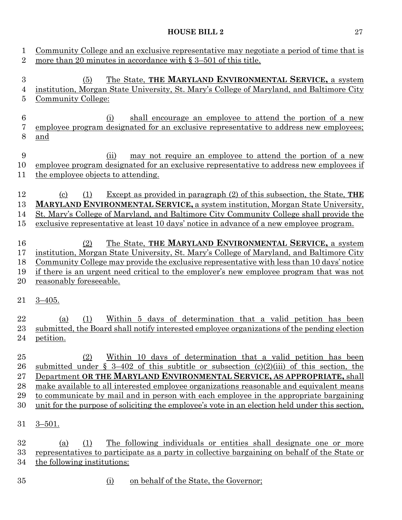| 1<br>$\overline{2}$               | Community College and an exclusive representative may negotiate a period of time that is<br>more than 20 minutes in accordance with $\S 3-501$ of this title.                                                                                                                                                                                                                                                                                                                                                                        |
|-----------------------------------|--------------------------------------------------------------------------------------------------------------------------------------------------------------------------------------------------------------------------------------------------------------------------------------------------------------------------------------------------------------------------------------------------------------------------------------------------------------------------------------------------------------------------------------|
| $\sqrt{3}$<br>4<br>$\overline{5}$ | The State, THE MARYLAND ENVIRONMENTAL SERVICE, a system<br>(5)<br>institution, Morgan State University, St. Mary's College of Maryland, and Baltimore City<br>Community College:                                                                                                                                                                                                                                                                                                                                                     |
| $\boldsymbol{6}$<br>7<br>8        | shall encourage an employee to attend the portion of a new<br>(i)<br>employee program designated for an exclusive representative to address new employees;<br>and                                                                                                                                                                                                                                                                                                                                                                    |
| $\boldsymbol{9}$<br>10<br>11      | may not require an employee to attend the portion of a new<br>(ii)<br>employee program designated for an exclusive representative to address new employees if<br>the employee objects to attending.                                                                                                                                                                                                                                                                                                                                  |
| 12<br>13<br>14<br>15              | <u>Except as provided in paragraph (2) of this subsection, the State, THE</u><br>$\left( \mathrm{c}\right)$<br>(1)<br><b>MARYLAND ENVIRONMENTAL SERVICE, a system institution, Morgan State University,</b><br>St. Mary's College of Maryland, and Baltimore City Community College shall provide the<br>exclusive representative at least 10 days' notice in advance of a new employee program.                                                                                                                                     |
| 16<br>17<br>18<br>19<br>20        | The State, THE MARYLAND ENVIRONMENTAL SERVICE, a system<br>(2)<br>institution, Morgan State University, St. Mary's College of Maryland, and Baltimore City<br>Community College may provide the exclusive representative with less than 10 days' notice<br>if there is an urgent need critical to the employer's new employee program that was not<br>reasonably foreseeable.                                                                                                                                                        |
| 21                                | $3 - 405.$                                                                                                                                                                                                                                                                                                                                                                                                                                                                                                                           |
| 22<br>23<br>24                    | Within 5 days of determination that a valid petition has been<br>(1)<br>(a)<br>submitted, the Board shall notify interested employee organizations of the pending election<br>petition.                                                                                                                                                                                                                                                                                                                                              |
| 25<br>26<br>27<br>28<br>29<br>30  | Within 10 days of determination that a valid petition has been<br>(2)<br>submitted under $\S$ 3-402 of this subtitle or subsection (c)(2)(iii) of this section, the<br>Department OR THE MARYLAND ENVIRONMENTAL SERVICE, AS APPROPRIATE, shall<br>make available to all interested employee organizations reasonable and equivalent means<br>to communicate by mail and in person with each employee in the appropriate bargaining<br>unit for the purpose of soliciting the employee's vote in an election held under this section. |
| 31                                | $3 - 501.$                                                                                                                                                                                                                                                                                                                                                                                                                                                                                                                           |
| 32<br>33<br>34                    | The following individuals or entities shall designate one or more<br>(a)<br>(1)<br>representatives to participate as a party in collective bargaining on behalf of the State or<br>the following institutions:                                                                                                                                                                                                                                                                                                                       |
| 35                                | on behalf of the State, the Governor;<br>(i)                                                                                                                                                                                                                                                                                                                                                                                                                                                                                         |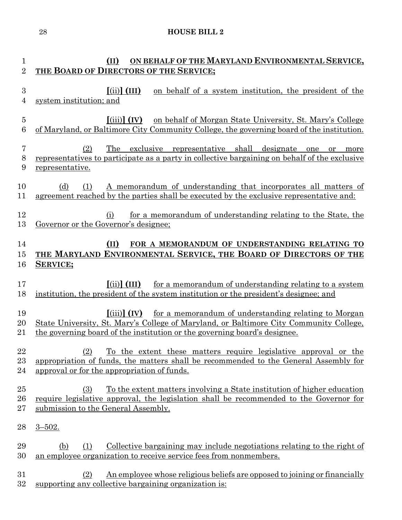| 1                        | ON BEHALF OF THE MARYLAND ENVIRONMENTAL SERVICE,<br>(II)                                                                                                                                                                                                                       |
|--------------------------|--------------------------------------------------------------------------------------------------------------------------------------------------------------------------------------------------------------------------------------------------------------------------------|
| $\overline{2}$           | THE BOARD OF DIRECTORS OF THE SERVICE;                                                                                                                                                                                                                                         |
| $\boldsymbol{3}$<br>4    | $(iii)$ (III)<br>on behalf of a system institution, the president of the<br>system institution; and                                                                                                                                                                            |
| $\overline{5}$<br>6      | $\left[ \left( \text{iii} \right) \right]$ (IV)<br>on behalf of Morgan State University, St. Mary's College<br>of Maryland, or Baltimore City Community College, the governing board of the institution.                                                                       |
| $\overline{7}$<br>8<br>9 | (2)<br>The exclusive representative shall designate<br>one<br>or<br>more<br>representatives to participate as a party in collective bargaining on behalf of the exclusive<br>representative.                                                                                   |
| 10<br>11                 | A memorandum of understanding that incorporates all matters of<br>(d)<br>(1)<br>agreement reached by the parties shall be executed by the exclusive representative and:                                                                                                        |
| 12<br>13                 | for a memorandum of understanding relating to the State, the<br>(i)<br>Governor or the Governor's designee;                                                                                                                                                                    |
| 14<br>15<br>16           | (II)<br>FOR A MEMORANDUM OF UNDERSTANDING RELATING TO<br>THE MARYLAND ENVIRONMENTAL SERVICE, THE BOARD OF DIRECTORS OF THE<br><b>SERVICE;</b>                                                                                                                                  |
| 17<br>18                 | for a memorandum of understanding relating to a system<br>$\left[ \mathrm{(ii)}\right]$ (III)<br>institution, the president of the system institution or the president's designee; and                                                                                         |
| 19<br>20<br>21           | $\left[ \left( \text{iii} \right) \right]$ (IV)<br>for a memorandum of understanding relating to Morgan<br>State University, St. Mary's College of Maryland, or Baltimore City Community College,<br>the governing board of the institution or the governing board's designee. |
| $\bf{22}$<br>23<br>24    | (2)<br>To the extent these matters require legislative approval or the<br>appropriation of funds, the matters shall be recommended to the General Assembly for<br>approval or for the appropriation of funds.                                                                  |
| 25<br>26<br>27           | <u>To the extent matters involving a State institution of higher education</u><br>(3)<br>require legislative approval, the legislation shall be recommended to the Governor for<br>submission to the General Assembly.                                                         |
| 28                       | $3 - 502$ .                                                                                                                                                                                                                                                                    |
| 29<br>30                 | Collective bargaining may include negotiations relating to the right of<br>(1)<br>(b)<br>an employee organization to receive service fees from nonmembers.                                                                                                                     |
| 31<br>32                 | An employee whose religious beliefs are opposed to joining or financially<br>(2)<br>supporting any collective bargaining organization is:                                                                                                                                      |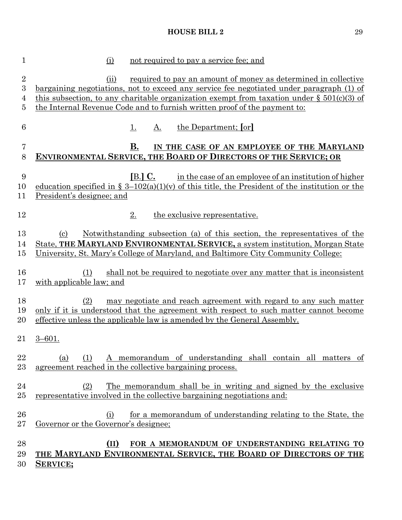| $\mathbf{1}$                  | not required to pay a service fee; and<br>(i)                                                                                                                                                                                                                                                                                                          |
|-------------------------------|--------------------------------------------------------------------------------------------------------------------------------------------------------------------------------------------------------------------------------------------------------------------------------------------------------------------------------------------------------|
| $\overline{2}$<br>3<br>4<br>5 | required to pay an amount of money as determined in collective<br>(ii)<br><u>bargaining negotiations, not to exceed any service fee negotiated under paragraph (1) of</u><br>this subsection, to any charitable organization exempt from taxation under $\S 501(c)(3)$ of<br>the Internal Revenue Code and to furnish written proof of the payment to: |
| $\,6$                         | the Department; [or]<br><u>1.</u><br><u>A.</u>                                                                                                                                                                                                                                                                                                         |
| 7<br>8                        | В.<br>IN THE CASE OF AN EMPLOYEE OF THE MARYLAND<br><b>ENVIRONMENTAL SERVICE, THE BOARD OF DIRECTORS OF THE SERVICE; OR</b>                                                                                                                                                                                                                            |
| 9<br>10<br>11                 | $[B.]\,C.$<br>in the case of an employee of an institution of higher<br>education specified in $\S 3-102(a)(1)(v)$ of this title, the President of the institution or the<br>President's designee; and                                                                                                                                                 |
| 12                            | 2.<br>the exclusive representative.                                                                                                                                                                                                                                                                                                                    |
| 13<br>14<br>$15\,$            | Notwithstanding subsection (a) of this section, the representatives of the<br>$\left( \mathrm{c}\right)$<br>State, THE MARYLAND ENVIRONMENTAL SERVICE, a system institution, Morgan State<br>University, St. Mary's College of Maryland, and Baltimore City Community College:                                                                         |
| 16<br>17                      | shall not be required to negotiate over any matter that is inconsistent<br>(1)<br>with applicable law; and                                                                                                                                                                                                                                             |
| 18<br>19<br>20                | (2)<br>may negotiate and reach agreement with regard to any such matter<br>only if it is understood that the agreement with respect to such matter cannot become<br>effective unless the applicable law is amended by the General Assembly.                                                                                                            |
| 21                            | $3 - 601$ .                                                                                                                                                                                                                                                                                                                                            |
| 22<br>$23\,$                  | A memorandum of understanding shall contain all matters of<br>(a)<br>(1)<br>agreement reached in the collective bargaining process.                                                                                                                                                                                                                    |
| 24<br>$25\,$                  | <u>The memorandum shall be in writing and signed by the exclusive</u><br>(2)<br>representative involved in the collective bargaining negotiations and:                                                                                                                                                                                                 |
| 26<br>$27\,$                  | for a memorandum of understanding relating to the State, the<br>(i)<br>Governor or the Governor's designee;                                                                                                                                                                                                                                            |
| 28<br>29<br>30                | FOR A MEMORANDUM OF UNDERSTANDING RELATING TO<br>(II)<br>THE MARYLAND ENVIRONMENTAL SERVICE, THE BOARD OF DIRECTORS OF THE<br>SERVICE;                                                                                                                                                                                                                 |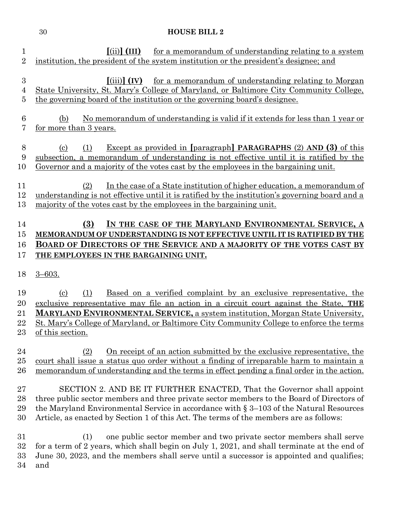| $\mathbf 1$<br>$\overline{2}$           | $\left[ \mathrm{(ii)}\right]$ (III)<br>for a memorandum of understanding relating to a system<br>institution, the president of the system institution or the president's designee; and                                                                                                                                                                                                                          |
|-----------------------------------------|-----------------------------------------------------------------------------------------------------------------------------------------------------------------------------------------------------------------------------------------------------------------------------------------------------------------------------------------------------------------------------------------------------------------|
| $\boldsymbol{3}$<br>$\overline{4}$<br>5 | for a memorandum of understanding relating to Morgan<br>$\left[ \left( \text{iii} \right) \right]$ (IV)<br>State University, St. Mary's College of Maryland, or Baltimore City Community College,<br>the governing board of the institution or the governing board's designee.                                                                                                                                  |
| 6<br>7                                  | No memorandum of understanding is valid if it extends for less than 1 year or<br>(b)<br>for more than 3 years.                                                                                                                                                                                                                                                                                                  |
| 8<br>9<br>10                            | <b>Except as provided in [paragraph] PARAGRAPHS (2) AND (3) of this</b><br>(c)<br>(1)<br>subsection, a memorandum of understanding is not effective until it is ratified by the<br>Governor and a majority of the votes cast by the employees in the bargaining unit.                                                                                                                                           |
| 11<br>12<br>13                          | In the case of a State institution of higher education, a memorandum of<br>(2)<br>understanding is not effective until it is ratified by the institution's governing board and a<br>majority of the votes cast by the employees in the bargaining unit.                                                                                                                                                         |
| 14<br>15<br>16<br>17                    | IN THE CASE OF THE MARYLAND ENVIRONMENTAL SERVICE, A<br>(3)<br>MEMORANDUM OF UNDERSTANDING IS NOT EFFECTIVE UNTIL IT IS RATIFIED BY THE<br>BOARD OF DIRECTORS OF THE SERVICE AND A MAJORITY OF THE VOTES CAST BY<br>THE EMPLOYEES IN THE BARGAINING UNIT.                                                                                                                                                       |
|                                         |                                                                                                                                                                                                                                                                                                                                                                                                                 |
| 18                                      | $3 - 603.$                                                                                                                                                                                                                                                                                                                                                                                                      |
| 19<br>20<br>21<br>22<br>$23\,$          | <u>Based on a verified complaint by an exclusive representative, the</u><br>(1)<br>$\left( \mathrm{c}\right)$<br>exclusive representative may file an action in a circuit court against the State, THE<br><b>MARYLAND ENVIRONMENTAL SERVICE, a system institution, Morgan State University,</b><br>St. Mary's College of Maryland, or Baltimore City Community College to enforce the terms<br>of this section. |
| 24<br>25<br>26                          | <u>On receipt of an action submitted by the exclusive representative, the</u><br>(2)<br>court shall issue a status quo order without a finding of irreparable harm to maintain a<br>memorandum of understanding and the terms in effect pending a final order in the action.                                                                                                                                    |
| $27\,$<br>28<br>29<br>30                | SECTION 2. AND BE IT FURTHER ENACTED, That the Governor shall appoint<br>three public sector members and three private sector members to the Board of Directors of<br>the Maryland Environmental Service in accordance with $\S 3-103$ of the Natural Resources<br>Article, as enacted by Section 1 of this Act. The terms of the members are as follows:                                                       |